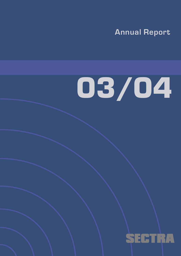**Annual Report**

# **03/04**

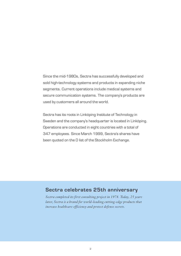Since the mid-1980s, Sectra has successfully developed and sold high-technology systems and products in expanding niche segments. Current operations include medical systems and secure communication systems. The company's products are used by customers all around the world.

Sectra has its roots in Linköping Institute of Technology in Sweden and the company's headquarter is located in Linköping. Operations are conducted in eight countries with a total of 347 employees. Since March 1999, Sectra's shares have been quoted on the O list of the Stockholm Exchange.

### **Sectra celebrates 25th anniversary**

*Sectra completed its first consulting project in 1978. Today, 25 years later, Sectra is a brand for world-leading cutting-edge products that increase healthcare efficiency and protect defense secrets.*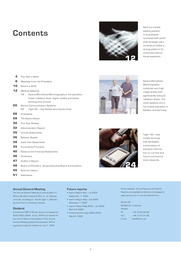### **Contents**

**4** The Year in Brief

**10** Sectra in Brief **12** Medical Systems

 Employees The Sectra Share Five-Year Review Administration Report Income Statements Balance Sheets

**46** Dictionary **47** Auditor's Report

**6** Message from the President

**20** Secure Communication Systems

working environment

**24** Tiger XS – new flexible security terminal

**48** Board of Directors, Group Executive Board and Auditors

**18** Sectra MicroDose Mammography in full operation Lower radiation dose, higher quality and better



Sectra's market leading position in Scandinavia combined with worldwide strategic partnerships provides a strong platform for continued international expansion.



Sectra MicroDose Mammography combines very high image quality with significantly reduced radiation doses. The initial systems are in full clinical operation in Sweden and Germany.



Tiger® XS – new mobile terminal that facilitates transmission of sensitive information on current and future communications networks.

### **51** Addresses

**50** Sectra's history

**38** Cash Flow Statements **39** Accounting Principles

**40** Notes to the Financial Statements

### **Annual General Meeting**

The Annual General Meeting of shareholders in Sectra AB will be held at 4:00 p.m. on Tuesday, June 29, at Collegium, Teknikringen 7, Mjärdevi Science Park in Linköping, Sweden.

### **Dividend**

A dividend of SEK 0.50 per share is proposed for fiscal 2003/2004. July 2, 2004 is proposed as the record date for the dividend. If the Annual General Meeting adopts the proposal, VPC is expected to pay the dividend on July 7, 2004.

### **Future reports**

- Interim Report May Jul 2004 September. 7, 2004
- Interim Report May Oct 2004 December 7, 2004
- Interim Report May 2004 Jan 2005 March 8, 2005
- Preliminary Earnings 2004/2005 May 24, 2005

Press releases, Annual Reports and Interim Reports are available at Sectra's homepage at www.sectra.com or can be ordered from:

| Sectra AB           |                 |
|---------------------|-----------------|
| SE-583 30 Linköping |                 |
| Sweden              |                 |
| Ph.                 | $+4613235200$   |
| Fax                 | +46 13 21 21 85 |
| E-mail              | info@sectra.se  |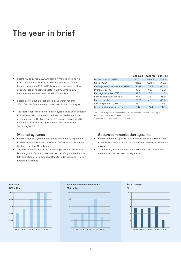# **The year in brief**

- Sectra AB acquired 60,000 shares in Mamea Imaging AB from the founders, thereby increasing ownership stake in the company from 38 % to 95 %. A nonrecurring write-down of capitalized development costs in Mamea Imaging AB encumbered Sectra's profit by SEK 70.9 million.
- Sectra carried out a direct share issue worth roughly SEK 150 M to finance major investment in mammography.
- The market for wireless information systems has been affected by low investment volumes in the financial markets and the aviation industry. Sectra's Board of Directors has decided to shut down or sell off the operations in Sectra Wireless Technologies AB.

### **Medical systems**

- Sectra's medical systems operations continued to expand on international markets and more than 500 sites worldwide use Sectra's radiology IT systems.
- The initial installations of the unique digital Sectra MicroDose Mammography™ system, has been successfully installed and is fully operational in Helsingborg Hospital in Sweden and Klinikum Krefeld in Germany.

|                                                    | 2003/04  | 2002/03        | 2001/02        |
|----------------------------------------------------|----------|----------------|----------------|
| Orders received, MSEK                              | 375.1    | 489.8          | 459.7          |
| Sales, MSEK                                        | 495.3    | 503.4          | 410.0          |
| Earnings after financial items, MSEK <sup>1)</sup> | 27.6     | 78.9           | 61.4           |
| Profit margin, % <sup>11</sup>                     | 5.6      | 157            | 15.0           |
| Earnings per share, SEK 1929                       | $\cap$ 6 | 1 <sub>f</sub> | 1 <sub>2</sub> |
| Earning capacity of equity, %                      | 5 R      | 28.7           | 26.9           |
| Equity ratio, %                                    | 61.7     | 43.6           | 45.6           |
| Dividend per share, SEK, 31                        | O 5      | n 5            | $\bigcap$ 4    |
| No. of employees at year-end                       | 347      | 274            | 250            |
|                                                    |          |                |                |

<sup>1)</sup> A nonrecurring write-down of capitalized development costs for Mamea Imaging AB encumbered Sectra's profit by SEK 70.9 million.

<sup>2)</sup> Before dilution <sup>3)</sup> Proposed for 2003/2004

### **Secure communication systems**

- Sectra launched Tiger® XS, a new mobile security terminal that expands Sectras's product portfolio for secure mobile communications.
- A subsidiary was started in Great Britain as part of Sectra's commitment to international expansion.





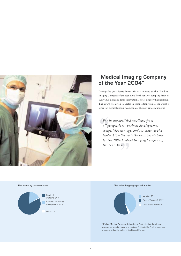

### **"Medical Imaging Company of the Year 2004"**

During the year Sectra Imtec AB was selected as the "Medical Imaging Company of the Year 2004" by the analyst company Frost & Sullivan, a global leader in international strategic growth consulting. The award was given to Sectra in competition with all the world's other top medical imaging companies. The jury's motivation was:

**"** *the Year Award.* For its unparalleled excellence from<br>
all perspectives - business developme:<br>
competitive strategy, and customer s<br>
leadership – Sectra is the undisputed *all perspectives - business development, competitive strategy, and customer service leadership – Sectra is the undisputed choice for the 2004 Medical Imaging Company of*

### **Net sales by business area**



### **Net sales by geographical market**



 $^{\prime\prime}$  Philips Medical Systems' delivieries of Sectra's digital radiology systems on a global basis are invoiced Philips in the Netherlands and are reported under sales in the Rest of Europe.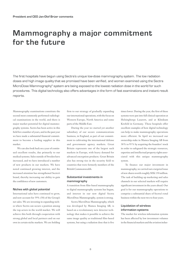### **Mammography a major commitment for the future**

The first hospitals have begun using Sectra's unique low-dose mammography system. The low radiation doses and high image quality that we promised have been verified, and women examined using the Sectra MicroDose Mammography® system are being exposed to the lowest radiation dose in the world for such procedures. This digital technology also offers advantages in the form of fast examinations and instant result reports.

Mammography examinations constitute the second most commonly performed radiological examinations in the world, and there is major market potential for digital mammography systems. Sectra has been active in this field for a number of years, and in the past year we have made a substantial financial commitment to become a leading supplier in this market.

We can also look back on a year of continued excellent results, due primarily to our medical systems. Sales outside of Sweden have increased, and we have introduced a number of new products in our markets. We have noted continued growing interest, and the increased attention has strengthened Sectra's brand, thereby increasing our ability to gain the confidence of new customers.

### **Niches with global potential**

International sales have continued to grow, and now account for 59% (58) of the Group's net sales. We are investing in expanding niches where Sectra can secure a position among the top actors in the world market. We will achieve this both through cooperation with strong global and local partners and on our own in certain niche markets. We are holding

firm to our strategy of gradually expanding our international operations, with the focus on Western Europe, North America and some parts of the Middle East.

During the year we started yet another subsidiary of our secure communications business, in England, as part of our commitment to cultivating the international defense and government agency markets. Great Britain represents one of the largest such markets in Europe, with heavy demand for advanced encryption products. Great Britain also has strong ties in the security field to countries that were formerly members of the British Commonwealth.

### **Substantial investments in mammography**

A transition from film-based mammography to digital mammography systems has begun, and interest in our new digital Sectra MicroDose Mammography, system is strong.

Sectra MicroDose Mammography, which was developed by Mamea Imaging AB, is based on a revolutionary new detector technology that makes it possible to achieve the same image quality as traditional film-based systems, but using a radiation dose that is five

times lower. During the year, the first of these systems were put into full clinical operation at Helsingborgs Lasarett, and at Klinikum Krefeld in Germany. These hospitals offer excellent examples of how digital technology can help to make mammography operations more efficient. In April we increased our ownership stake in Mamea Imaging AB from 38% to 95% by acquiring the founders' stock in order to safeguard the strategic resources, expertise and intellectual property rights associated with this unique mammography system.

To finance our major investment in mammography, we carried out a targeted issue of new shares worth roughly SEK 150 million. The task of building up marketing and sales channels in our selected markets will require significant investment in the years ahead. Our goal is for our mammography operations to comprise a substantial share of Sectra's total business within the next two to four years.

### **Liquidation of wireless information systems**

The market for wireless information systems has been affected by low investment volumes in the financial markets and the aviation indus-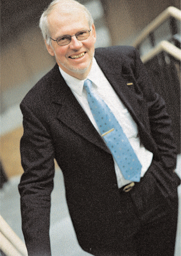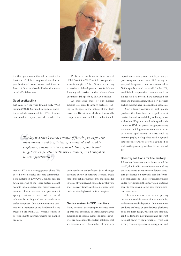

try. Our operations in this field accounted for less than 1% of the Group's total sales for the year. In view of current market conditions, the Board of Directors has decided to shut down or sell off this business.

### **Good profitability**

Net sales for the year totaled SEK 495.3 million (503.4). Our medical systems operations, which accounted for 84% of sales, continued to expand, and the market for

Profit after net financial items totaled SEK 27.6 million (78.9), which corresponds to a profit margin of 6 % (16). A nonrecurring write-down of development costs for Mamea Imaging AB carried in the balance sheet encumbered the profit by SEK 70.9 million.

An increasing share of our medical systems sales is made through partners, leading to changes in the nature of the deals involved. Direct sales deals will normally comprise total system deliveries that include

The<br>
nich<br>
emp<br>
long *The key to Sectra's success consists of focusing on high-tech niche markets and profitability, committed and capable employees, a healthy internal social climate, short- and long-term cooperation with our customers, and being open to new opportunities.*

to new opportunities.<br>
medical IT is in a strong growth phase. We posted lower net sales of secure communications systems in 2003/2004, mainly because batch ordering of the Tiger system did not occur to the same extent as in previous years. A number of new defense and government agency customers have ordered initial volumes for testing, and are currently in an evaluation phase. Our communications business was also affected by the Swedish military's freeze on orders in 2003, which resulted in postponements in procurements for planned projects.

both hardware and software. Sales through partners purely of software licenses. Deals made through partners are thus much smaller in terms of volume, and generally involve very short delivery times. At the same time, these deals provide high contribution margins.

### **Sectra system in 500 hospitals**

Many hospitals are opting to increase their operational efficiency by introducing digital systems, and hospitals in more and more countries are demanding the system solutions that we have to offer. The number of radiology

departments using our radiology imageprocessing system increased 30% during the year, and the system is now in use at more than 500 hospitals around the world. In the U.S., established cooperative partners such as Philips Medical Systems have increased both sales and market shares, while new partners such as Eclipsys have finalized their first deals.

Our offering consists of high-quality products that have been developed to meet market demand for scalability and integration with other IT systems used in hospital environments. With our proven image-processing system for radiology departments and an array of clinical applications in areas such as mammography, orthopedics, cardiology and osteoporosis care, we are well equipped to address the growing global market in medical IT.

### **Security solutions for the military**

Like other defense organizations around the world, the Swedish armed forces are making the transition to an entirely new defense structure predicated on network-based information management. The restructuring that is under way demands the integration of strong security solutions into the new communication structures.

These new defense structures are placing heavier demands in terms of interoperability and international adaptation. Our encryption products are based on standardized platforms and a modular design, which means that they can be adapted to new markets and different national security requirements. With our strong core competence in encryption and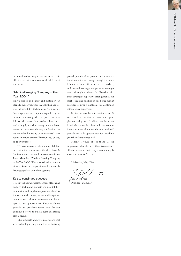advanced radio design, we can offer costeffective security solutions for the defense of the future.

### **"Medical Imaging Company of the Year 2004"**

Only a skilled and expert end customer can identify the correct ways to apply the possibilities afforded by technology. As a result, Sectra's product development is guided by the customers, a strategy that has proven successful over the years. Our products have been ranked highly in various surveys and studies on numerous occasions, thereby confirming that we are indeed meeting our customers' strict requirements in terms of functionality, quality and performance.

We have also received a number of different distinctions, most recently when Frost & Sullivan named our medical company Sectra Imtec AB as their "Medical Imaging Company of the Year 2004". This is a distinction that was given to Sectra in competition with the world's leading suppliers of medical systems.

### **Key to continued success**

The key to Sectra's success consists of focusing on high-tech niche markets and profitability, committed and capable employees, a healthy internal social climate, short- and long-term cooperation with our customers, and being open to new opportunities. These attributes provide an excellent foundation for our continued efforts to build Sectra as a strong global brand.

The products and system solutions that we are developing target markets with strong growth potential. Our presence in the international market is increasing through the establishment of new offices in selected markets, and through strategic cooperative arrangements throughout the world. Together with these strategic cooperative arrangements, our market-leading position in our home market provides a strong platform for continued international expansion.

Sectra has now been in existence for 25 years, and in that time we have undergone phenomenal growth. I believe that the niches in which we are involved will see volume increases over the next decade, and will provide us with opportunity for excellent growth in the future as well.

Finally, I would like to thank all our employees who, through their tremendous efforts, have contributed to yet another highly successful year for Sectra.

Linköping, May 2004

Jan-Olof Brüer

President and CEO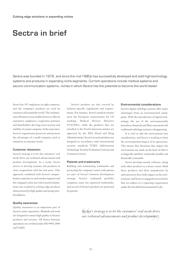# **Sectra in brief**

Sectra was founded in 1978, and since the mid-1980s has successfully developed and sold high-technology systems and products in expanding niche segments. Current operations include medical systems and secure communication systems, niches in which Sectra has the potential to become the world leader.

Sectra has 347 employees in eight countries, and the company's products are used by customers all around the world. The combination of business areas enables Sectra to offer its customers, employees, cooperative partners and shareholders the long-term security and stability of a major company. At the same time, Sectra's organization preserves and protects the advantages of a small company, such as sensitivity to customer needs.

### **Customer obsession**

Sectra's strategy is to let the customers' real needs drive our technical advancements and product development. As a result, Sectra strives to develop systems and products in close cooperation with the end users. This approach, combined with Sectra's comprehensive expertise in each market segment and the company's close ties with research institutions, has resulted in cutting-edge products characterized by high quality and strong userfriendliness.

### **Quality awareness**

Quality awareness is an important part of Sectra's entire operations. Methods and tools are designed to ensure high quality in Sectra's products and services. All Sectra business operations are certified under ISO 9001:2000 and TickIT.

Sectra's products are also covered by industry-specific regulations and requirements. For instance, Sectra's medical systems meet the European requirements for CE marking, Medical Devices Directive 93/42/EEC, while the products that are installed in the North American market are approved by the FDA (Food and Drug Administration). Sectra's security products are designed in accordance with international security standards ITSEC (Information Technology Security Evaluation Criteria) and Common Criteria.

### **Patents and trademarks**

Building and maintaining trademarks and protecting the company's assets with patents are part of Sectra's business development strategy. Sectra's trademark portfolio comprises some ten registered trademarks, and several of Sectra's products are protected by patents.

### **Environmental considerations**

Sectra's digital radiology systems offer major advantages from an environmental standpoint. With the introduction of digital technology, the use of the environmentally hazardous chemicals and films associated with traditional radiology systems is disappearing.

It is vital to take the environment into consideration, and Sectra is working to limit the environmental impact of its operations. This means that decisions that impact the environment are made on the basis of what is ecologically justified, technically feasible and financially reasonable.

Sectra develops mainly software, along with other products to a lesser extent. Both these products and their manufacture by subcontractors have little impact on the environment, and Sectra is engaged in no activities that are subject to a reporting requirement under the Swedish Environmental Code.

**"** *Sectra's strategy is to let the customers' real needs drive* **"** *our technical advancements and product development.*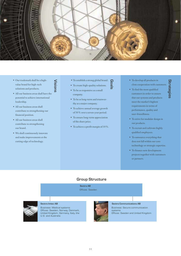

• Our trademark shall be a highvalue brand for high-tech solutions and products.

**Visions**

- All our business areas shall have the potential to achieve international leadership.
- All our business areas shall contribute to strengthening our financial position.
- All our business areas shall contribute to strengthening our brand.
- We shall continuously innovate and make improvements at the cutting edge of technology.
- To establish a strong global brand.
- To create high-quality solutions.
- To be as responsive as a small company.
- To be as long-term and trustworthy as a major company.
- To achieve annual average growth of 30 % over a seven-year period.
- To ensure long-term appreciation of the share price.
- To achieve a profit margin of 10 %.
- To develop all products in close cooperation with customers.
- To develop all prod<br>
close cooperation v<br>
 To find the most qu<br>
customers in order<br>
that our systems an<br>
meet the market's h<br>
requirements in ter<br>
performance, quali<br>
user-friendliness.<br>
 To strive for modul<br>
our produ • To find the most qualified customers in order to ensure that our systems and products meet the market's highest requirements in terms of performance, quality and user-friendliness.
	- To strive for modular design in our products.
	- To recruit and cultivate highly qualified employees.
	- To outsource everything that does not fall within our core technology or strategic expertise.
	- To finance new development projects together with customers or partners.

### **Group Structure**

### **Sectra AB**

Offices: Sweden



### **Sectra Imtec AB**

Business: Medical systems Offices: Sweden, Norway, Denmark, United Kingdom, Germany, Italy, the U.S. and Australia



### **Sectra Communications AB** Business: Secure communication systems<br>Offices: Sweden and United Kingdom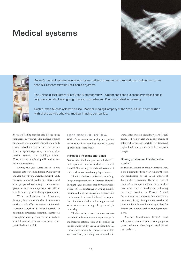

Sectra's medical systems operations have continued to expand on international markets and more than 500 sites worldwide use Sectra's systems.

The unique digital Sectra MicroDose Mammography™ system has been successfully installed and is fully operational in Helsingborg Hospital in Sweden and Klinikum Krefeld in Germany.

Sectra Imtec AB was selected as the "Medical Imaging Company of the Year 2004" in competition with all the world's other top medical imaging companies.

Sectra is a leading supplier of radiology image management systems. The medical systems operations are conducted through the wholly owned subsidiary Sectra Imtec AB, with a focus on digital image management and information systems for radiology clinics. Customers include both public and private hospitals worldwide.

**Medical systems** 

During the year Sectra Imtec AB was selected as the "Medical Imaging Company of the Year 2004" by the analyst company Frost & Sullivan, a global leader in international strategic growth consulting. The award was given to Sectra in competition with all the world's other top medical imaging companies.

With headquarters in Linköping, Sweden, Sectra is established in numerous markets, with offices in Norway, Denmark, Germany, Italy, the U.S., UK and Australia. In addition to direct sales operations, Sectra sells through business partners in most markets, which has resulted in major sales successes, particularly in the U.S.

### **Fiscal year 2003/2004**

With a focus on international growth, Sectra has continued to expand its medical systems operations internationally.

### **Increased international sales**

Net sales for the fiscal year totaled SEK 418 million, of which international sales accounted for 61%. The main parts of the sales consist of software licenses to radiology departments.

The installed base of Sectra's radiology image management systems increased by 30% during the year and more than 500 sites worldwide use Sectra's systems, performing more 25 million radiology examinations a year. With the increase of the installed base, the proportion of additional sales such as supplemental sales, maintenance and upgrade agreements, is increasing.

The increasing share of sales on markets outside Scandinavia is entailing a change in the character of transaction. In direct sales, the model employed by Sectra in Scandinavia, transactions normally comprise complete systems delivery, including hardware and soft-

ware. Sales outside Scandinavia are largely conducted via partners and consist mainly of software licenses with short delivery times and high added value, generating a higher profit margin.

### **Strong position on the domestic market**

In Sweden, a number of new contracts were signed during the fiscal year. Among these is the digitization of the image archive at Karolinska University Hospital, one of Sweden's most important brands in the healthcare sector internationally and a leading university hospital in Europe. Several Scandinavian customers with whom Sectra has a long history of cooperation also showed continued confidence by placing orders for further development of their radiology operations.

Outside Scandinavia, Sectra's local subsidiaries continued to successfully support partner sales, and in some segments sell directly to end users.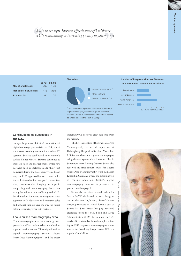Medical systems **Medical systems** 

# Business concept: Increase effectiveness of healthcare,<br>while maintaining or increasing quality in patient care<br>**While** *Business concept: Increase effectiveness of healthcare, while maintaining or increasing quality in patient care*

| 03/04 02/03                    |       |
|--------------------------------|-------|
| 260 -                          | - 193 |
| Net sales, SEK million:<br>418 | 386   |
| 61                             | 55    |
|                                |       |

### **Net sales**



invoiced Philips in the Netherlands and are reported under sales in the Rest of Europe

### **Number of hospitals that use Sectra's radiology image management systems**



### **Continued sales successes in the U.S.**

Today, a large share of Sectra's installations of digital radiology systems is in the U.S., one of the fastest growing markets for medical IT systems. Sectra's established sales channels such as Philips Medical Systems continued to increase sales and market share, while new partners such as Eclipsys made their first deliveries during the fiscal year. With a broad range of FDA approved focused clinical solutions, dedicated to for example 3D visualization, cardiovascular imaging, orthopedic templating and mammography, Sectra has strengthened its product offering to the U.S. health market. An intensive integration work together with education and extensive sales and product support pave the way for future sales successes together with partners.

### **Focus on the mammography area**

The mammography area has a major growth potential and Sectra aims to become a leading supplier on this market. The unique low dose digital mammography system, Sectra MicroDose Mammography™, and the breast

imaging PACS received great response from the market.

The first installation of Sectra MicroDose Mammography is in full operation at Helsingborg Hospital in Sweden. More than 7.000 women have undergone mammography using the new system since it was installed in September 2003. During the year, Sectra also received its first export order for Sectra MicroDose Mammography from Klinikum Krefeld in Germany, where the system now is in routine operation. Sectra's digital mammography solution is presented in greater detail on page 18.

Sectra also received several orders for Sectra PACS™ dedicated to breast imaging during the year. In January, Sectra's breast imaging workstation, which forms a part of Sectra PACS for Breast Imaging, received clearance from the U.S. Food and Drug Administration (FDA) for sale on the U.S. market. Sectra is today the only supplier offering an FDA-approved mammography workstation for handling images from different suppliers' modalities.

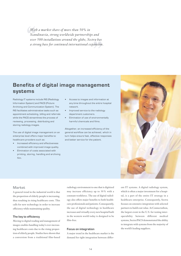nansion<br>*.* With a market share of more than 50% in<br>
Scandinavia, strong worldwide partnerships and<br>
over 500 installations around the globe, Sectra has<br>
a strong base for continued international expansion. *With a market share of more than 50% in Scandinavia, strong worldwide partnerships and over 500 installations around the globe, Sectra has* 

### **Benefits of digital image management systems**

Radiology IT systems include RIS (Radiology Information System) and PACS (Picture Archiving and Communication System). The RIS facilitates administrative tasks such as appointment scheduling, billing and referrals while the PACS streamlines the process of reviewing, processing, distributing and storing radiology images.

The use of digital image management on an enterprise level offers major benefits to healthcare providers such as:

- Increased efficiency and effectiveness combined with improved image quality.
- Elimination of costs associated with printing, storing, handling and archiving film.
- Access to images and information at any time throughout the entire hospital network.
- Improved service to the radiology department customers.
- Elimination of use of environmentally harmful chemicals and films.

Altogether, an increased efficiency of the general workflow can be achieved, which in turn helps ensure fast, effective responses and better service for the patient.



### **Market**

A general trend in the industrial world is that the proportion of elderly people is increasing, thus resulting in rising healthcare costs. This calls for new technology in order to increase efficiency while maintaining quality.

### **The key to efficiency**

Moving to digital reading and management of images enables handling today's ever-increasing healthcare costs due to the rising proportion of elderly people. Studies have shown that a conversion from a traditional film-based

radiology environment to one that is digitized may increase efficiency up to 30 % with a constant workforce. The use of digital radiology also offers major benefits to both healthcare professionals and patients. Consequently, the use of digital technology in healthcare increases and virtually every new hospital built in the western world today is designed to be film-free.

### **Focus on integration**

A major trend in the healthcare market is the demand for tight integration between different IT systems. A digital radiology system, which is often a major investment for a hospital, is a part of the entire IT strategy in a healthcare enterprise. Consequently, Sectra focuses on extensive integration with selected partners to build cost value. At Connectathon, the largest event in the U.S. for testing interoperability between different medical systems, Sectra PACS demonstrated the ability to integrate with systems from the majority of the world's leading suppliers.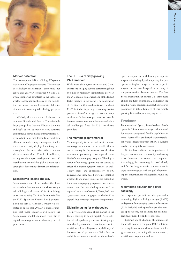

### **Market potential**

The market potential for radiology IT systems is determined by population size. The number of radiology examinations performed per capita and year varies between 0.6 and 1.3, when comparing countries in the industrial world. Consequently, the size of the population provides a reasonable estimate of the size of a market from a digital radiology perspective.

Globally there are about 10 players that compete directly with Sectra. These include large groups like General Electric, Siemens and Agfa, as well as medium-sized software companies. Sectra's main advantage is its ability to adapt to market demands for workflow efficient, complete image management solutions that are easily deployed and integrated throughout the enterprise. With a market share of more than 50 % in Scandinavia, strong worldwide partnerships and over 500 installations around the globe, Sectra has a strong base for continued international expansion.

### **Scandinavia leading the way**

Scandinavia is one of the markets that have advanced the furthest in the transition to digital radiology with about 90 % of radiology departments being film-free. In countries like the U.K., Spain and France, PACS penetration is less than 10 %, and in Germany it is estimated to be less than 20 %. It is a fair assumption that these countries will follow the Scandinavian model and move from film to digital radiology at an accelerating rate of penetration.

### **The U.S. – a rapidly growing PACS market**

With more than 5,800 hospitals and 7,000 outpatient-imaging centers performing about 380 million radiology examinations per year, the U.S. radiology market is one of the largest PACS markets in the world. The penetration of PACS in the U.S. can be estimated at about 15–25 %, indicating a huge remaining market potential. Sectra's strategy is to work in cooperation with business partners to provide innovative solutions to the business and clinical challenges faced by U.S. healthcare providers.

### **The mammography market**

Mammography is the second most common radiology examination in the world. Almost every country in the western world offers women the opportunity to participate in some kind of mammography program. The digitization of radiology operations has started to affect the mammography market as well. Today there are approximately 30,000 conventional film-based systems installed worldwide and many countries are extending their mammography programs. Sectra estimates that the installed systems will be replaced at a rate of some 3,000–4,000 new systems each year, a large part of which will be digital, thus creating a major market potential.

### **Digital imaging for orthopedics**

The private orthopedic clinic market in the U.S. is starting to adopt digital PACS solutions. Orthopedic surgeons are utilizing digital technology to reduce costs, improve office workflow, enhance diagnostic capabilities, and improve overall patient care. With Sectra's multiple orthopedic specific products developed in conjunction with leading orthopedic surgeons, including digital templating for preoperative implant surgery, the orthopedic surgeon can increase the speed and accuracy of the pre-operative planning process. The first Sectra installations at private U.S. orthopedic clinics are fully operational, delivering the tangible results of digital imaging. Sectra is well positioned to take advantage of this rapidly growing U.S. orthopedic imaging market.

### **Products**

For more than 15 years, Sectra has been developing PACS solutions – always with the need for modular design and flexible capabilities in mind. Sectra offers products that ensure scalability and integration with other IT systems used in the hospital environment.

Sectra has realized the importance of long-term customer relationships and strong trust between customer and supplier. Accordingly, Sectra's strategy is to work closely and for the long term with the customer in digitization projects, with the goal of optimizing the effectiveness of hospitals around the world.

### **A complete solution for digital radiology**

Sectra's product portfolio includes systems for managing digital radiology images (PACS) and systems for managing patient information (RIS). Included in the portfolio are also clinical applications, for example for mammography, orthopedics and osteoporosis.

Sectra is one of a handful of companies in the world to offer a complete PACS solution, covering the entire workflow within a radiology department, including clients and servers, workflow managers and archives.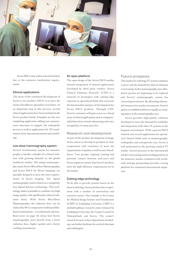

Sectra RIS is only sold in selected markets due to the extensive localization requirements.

### **Clinical applications**

The focus of the continued development of Sectra's core product, PACS, is to meet the needs of healthcare specialists even better. As an important step in this process, several clinical applications have been included in the Sectra product family. Examples are the new templating application adding new measurement functions to support the orthopedic process as well as applications for 3D visualization, bone mass measurements and cardiology.

### **Low dose mammography system**

Sectra's revolutionary system for mammography is another example of a clinical solution with growing demand on the global healthcare market. The unique mammography stand, Sectra MicroDose Mammography, and Sectra PACS for Breast Imaging, are specially designed to meet the strict requirements of breast imaging. The digital mammography stand is based on a completely new digital detector technology. This technology makes it possible to combine very high image quality with significantly reduced radiation doses. With Sectra MicroDose Mammography, the radiation dose can be reduced by 80 % compared to traditional filmbased examinations – a revolutionary advance. Read more on page 18, about how Sectra mammography users benefit from a lower radiation dose, higher quality and a better working environment.

### **An open platform**

The open design of the Sectra PACS enables smooth integration of clinical applications developed by third party vendors. Sectra Clinical Solutions Network™ (CSN) is a network of developers with cutting-edge expertise in specialized fields that increases the functionality and pace of development for Sectra PACS products. Through CSN, Sectra's customers will gain access to a broad array of clinical applications such as computeraided detection, virtual colonoscopy and voice recognition, to name just a few.

### **Research and development**

As part of the product development strategy, Sectra strives to develop its products in close cooperation with customers to meet the requirements of quality as well as user-friendliness. User groups, ongoing training and personal contact between end-users and Sectra engineers ensure that Sectra's products meet the high efficiency requirements set by the market.

### **Cutting edge technology**

To be able to provide systems based on the latest technology, Sectra also has close cooperation with a number of universities and research centers. One example is the Center for Medical Image Science and Visualization (CMIV) at Linköping University. CMIV is a multidisciplinary research center initiated by Linköping University, the County Council in Östergötland, and Sectra. The center's research focuses on how digitization of radiology can further facilitate the work of clinicians and radiologists.

### **Future prospects**

The market for radiology IT system continues to grow and the demand for clinical solutions is increasing. In the mammography area, filmbased systems are beginning to be replaced and Sectra's mammography system has received great interest. By allocating substantial resources for market investments, Sectra's goal is to establish itself more rapidly as a leading player in the mammography area.

Sectra provides high-quality solutions developed to meet the demand for scalability and integration with other IT-systems in the hospital environment. With a proven PACS solution and several applications for specialized clinical fields such as mammography, orthopedics and osteoporosis care, Sectra is well positioned in the growing medical IT market. Sectra's presence in the international market is increasing and its leading position in the domestic market combined with worldwide strategic partnerships provides a strong platform for continued international expansion.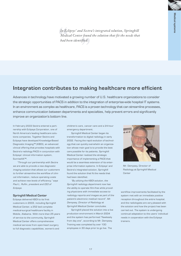**"** *had been identified.* In Ec<sub>i</sub><br>Media<br>bad b *In Eclipsys' and Sectra's integrated solution, Springhill Medical Center found the solution that fit the needs that*

### **Integration contributes to making healthcare more efficient**

Advances in technology have motivated a growing number of U.S. healthcare organizations to consider the strategic opportunities of PACS in addition to the integration of enterprise-wide hospital IT systems. In an environment as complex as healthcare, PACS is a proven technology that can streamline processes, enhance communication between departments and specialties, help prevent errors and significantly improve an organization's bottom line.

In February 2003 Sectra entered a partnership with Eclipsys Corporation, one of North America's leading healthcare solutions companies. Together Sectra and Eclipsys have developed Knowledge-Based Diagnostic Imaging™ (KBDI), an advanced clinical offering that provides hospitals with Sectra's radiology PACS in conjunction with Eclipsys' clinical information system, SunriseXA™.

*"Through our partnership with Sectra we are able to provide a new diagnostic imaging solution that allows our customers to further streamline the workflow of clinical information, reduce operating costs and achieve new levels of efficiency," says Paul L. Ruflin, president and CEO of Eclipsys.*

### **Springhill Medical Center**

Eclipsys delivered KBDI to its first customers in 2003, including Springhill Medical Center, a 252 bed complete medical-surgical healthcare facility in Mobile, Alabama. With more than 25 years of service to the community, Springhill Medical Center offers comprehensive medical services from open-heart surgery to full diagnostic capabilities, women's and

children's care, cancer care and a 24-hour emergency department.

Springhill Medical Center began its transformation to digital radiology in early 2002. Facing the rapid evolution of technology that can quickly overwhelm an organization whose main goal is to provide the best care possible for its patients, Springhill Medical Center realized the strategic importance of implementing a PACS that would be a seamless extension of its enterprise information systems. In Eclipsys' and Sectra's integrated solution, Springhill found the solution that fit the needs that had been identified.

*"By utilizing the KBDI solution, the Springhill radiology department now has the ability to operate film-free while providing physicians with immediate access to radiology reports and images as part of the patient's electronic medical record", Mr. Dempsey, Director of Radiology at Springhill Medical Center concludes.*

Springhill placed the solution into a live production environment in March 2004 and the system has performed "flawlessly from day one", according to Mr. Dempsey. Training was completed by over 100 employees in 30 days prior to go live. The



Mr. Dempsey, Director of Radiology at Springhill Medical Center

workflow improvements facilitated by the system met with an immediate positive reception throughout the entire hospital, and the radiologists are very pleased with the solution and how the project has been carried out. The system is undergoing continual adaptation to the users' individual needs in cooperation with the Eclipsys trainers.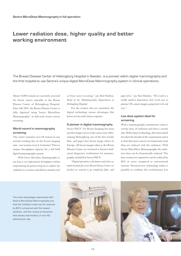### **Lower radiation dose, higher quality and better working environment**

The Breast Disease Center of Helsingborg Hospital in Sweden, is a pioneer within digital mammography and the first hospital to use Sectra's unique digital MicroDose Mammography system in clinical operations.

About 14,000 women are currently screened for breast cancer annually at the Breast Disease Center of Helsingborg Hospital. Since fall 2003, the Breast Disease Center is fully digitized using Sectra MicroDose Mammography™ in full-scale breast cancer screening.

### **World record in mammography screening**

The center examines over 60 women in one normal working day on the breast imaging unit – one woman every 4–6 minutes! This is a unique throughput capacity for a full field digital mammography system.

*"With Sectra MicroDose Mammography we can keep a very high patient throughput without compromising the patient integrity or comfort, key conditions in a sensitive and delicate situation such* *as breast cancer screening," says Boel Heddson, Head of the Mammography Department at Helsingborg Hospital.* 

For the women who are examined, the digital technology means advantages like better service and a faster response.

### **A pioneer in digital mammography**

Sectra PACS™ for Breast Imaging has been used for image review at the center since 2002, making Helsingborg one of the first totally film- and paper-free breast image clinics in Europe. All breast images taken at the Breast Disease Center are reviewed at Sectra's dedicated diagnostic workstation for mammography, included in Sectra PACS.

*"Digital operation is the future and when we made the plans for a new Breast Disease Center, we decided we wanted to go completely film- and* *paper-free," says Boel Heddson. "The result is a totally modern department that works just as planned. We cannot imagine going back to the old way."* 

### **Low dose system ideal for screening**

With a mammography examination comes a certain dose of radiation and thus a certain risk. With today's technology, this risk is much less than the benefit of the examination and it is clear that more cancers are found and cured than are induced with the radiation. With Sectra MicroDose Mammography the radiation dose can be dramatically reduced. The dose women are exposed to can be reduced by 80% or more compared to conventional systems. Patented new technology makes it possible to combine the revolutionary low

The main advantages associated with Sectra MicroDose Mammography are that the radiation dose can be reduced by 80 % compared with film-based systems, and the unique productivity that allows examination of over 60 patients per day.

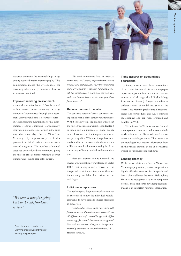

radiation dose with the extremely high image quality required within mammography. This combination makes the system ideal for screening where a large number of healthy women are examined.

### **Improved working environment**

A smooth and effective workflow is crucial within breast cancer screening. A large number of women pass through the department every day and time is a scarce resource – in Helsingborg the duration of a normal examination is about 5 minutes. Consequently, many examinations are performed in the same way day after day. Sectra MicroDose Mammography supports every step in this process, from initial patient contact to documented diagnosis. The number of manual steps has been reduced to a minimum, giving the nurse and the doctor more time to do what is important – taking care of the patient.

*"We cannot imagine going back to the old, filmbased system".*

Boel Heddson, Head of the Mammography Department at Helsingborg Hospital.

*"The work environment for us at the breast center has been decidedly improved with the new system," says Boel Heddson. "The time consuming and heavy handling of cassettes, films and chemicals has disappeared. We can meet more patients and even provide better service and give them faster answers."*

### **Reduce traumatic recalls**

The sensitive nature of breast cancer screening makes recalls of the patient very traumatic. With Sectra's system, the image is available at the nurse's workstation within seconds after it is taken and an immediate image quality control assures that the image maintains an adequate quality. When an image has to be retaken, this can be done while the woman is still in the examination room, saving her from the anxiety of being recalled to the examination.

After the examination is finished, the images are automatically transferred to Sectra PACS that manages and archives all the images taken at the center, where they are immediately available for review by the radiologist.

### **Individual adaptations**

The radiologist's diagnostic workstation can be customized to how the individual radiologist wants to have data and images presented to him or her.

*"Compared to the old analogue system with films and screens, this is like a new world. We are all different and prefer to read images with different settings, for example in contrast or background. Now each and every one of us gets the images automatically presented in our preferred way," Boel Heddson concludes.*

### **Tight integration streamlines operations**

Tight integration between the various systems of the center is essential. At a mammography department, patient information and data are administered through the RIS (Radiology Information System). Images are taken at different kinds of modalities, such as the MicroDose Mammography unit, ultrasound, stereotactic procedures and CR (computed radiography) and are read, archived and handled in PACS.

With Sectra PACS, information from all these systems is concentrated into one single workstation – the diagnostic workstation where the radiologist works. This means that the radiologist has access to information from all the various systems at his or her normal workspot, just one mouse click away.

### **Leading the way**

With the revolutionary Sectra MicroDose Mammography system, Sectra can provide a highly effective solution for hospitals and breast clinics all over the world. Helsingborg Hospital is recognized as a very competent hospital and a pioneer in advancing technology, and is an important reference installation.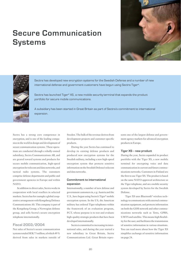# **Secure Communication Systems**





Sectra has developed new encryption systems for the Swedish Defense and a number of new international defense and government customers have begun using Sectra Tiger®.

Sectra has launched Tiger® XS, a new mobile security terminal that expands the product portfolio for secure mobile communications.

A subsidiary has been started in Great Britain as part of Sectra's commitment to international expansion.

Sectra has a strong core competence in encryption, and is one of the leading companies in the world in design and development of secure communication systems. These operations are conducted through a wholly-owned subsidiary, Sectra Communications AB, and are geared toward systems and products for secure mobile communication, high-speed encryption for telecom and data networks, and tactical radio systems. The customers comprise defense departments and public and government agencies in Europe and within NATO.

In addition to direct sales, Sectra works in cooperation with local resellers in selected markets. Sectra has for example a global cooperative arrangement with Kongsberg Defence Communications AS. This company is part of the Kongsberg Group, a Norwegian defense group, and sells Sectra's secure encryption telephone internationally.

### **Fiscal 2003/2004**

Net sales of Sectra's secure communication systems totaled SEK 73 million, of which 49 % derived from sales in markets outside of

Sweden. The bulk of the revenue derives from development projects and customer-specific products.

During the year Sectra has continued to develop its existing defense products and produced new encryption systems for the Swedish military, including a new high-speed encryption system that protects sensitive information on the Swedish Defense's telecom and data networks.

### **Commitment to international expansion**

Internationally, a number of new defense and government customers in, e.g. Austria and the U.S., have begun using Sectra's Tiger® mobile encryption system. In the US, the American military has ordered Tiger telephones within the framework of an evaluation program, FCT, whose purpose is to test and evaluate high-quality strategic products that have been developed internationally.

Sectra is committed to increasing its international sales, and during the year started a new subsidiary in Great Britain, Sectra Communications Ltd. Great Britain represents one of the largest defense and government agency markets for advanced encryption products in Europe.

### **Tiger XS – new product**

During the year, Sectra expanded its product portfolio with the Tiger XS, a new mobile terminal for encrypting voice and data communication in current and future communications networks. Customers in Finland are the first to use Tiger XS. The product is based on the same NATO-approved architecture as the Tiger telephone, and on a mobile security system developed by Sectra for the Swedish Defense.

Tiger XS uses Bluetooth® wireless technology to communicate with external communication equipment, and protects information on both the GSM network and other communications networks such as Tetra, GPRS, UMTS and satellite. This means high flexibility for the user, and facilitates the transmission of sensitive information in various situations. You can read more about how the Tiger XS simplifies exchange of sensitive information on page 24.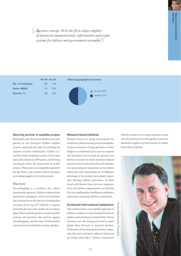**"**<br>*of a*<br>syst **"** *systems for defense and government customers Business concept: To be the first-choice supplier of advanced communication, information and crypto* 



### **Security partner in satellite project**

During the year, Sectra was chosen as security partner in the European Galileo satellite project, and given the task of reviewing the system's security architecture. Galileo is a satellite based navigation system of the same type as the American GPS system, and is being developed within the framework of an EU project. This project is strategically important for the future, and confirms Sectra's position as a leading supplier of security systems.

### **Market**

Eavesdropping is a problem that affects government agencies, defense organizations and private companies. A host of revelations have occurred over the last year revealing that everyone from top UN officials to agency personnel has been the victims of eavesdropping. These incidents point to a major need for systems and products that protect against eavesdropping, and the issue of information security has been included on many agendas.

### **Network-based defense**

Defense forces are being restructured the world over, and are moving away from emphasizing investment of large portions of their budgets in traditional areas such as weapons and personnel and toward an entirely new defense structure in which situation-adapted insertion forces and network-based information processing are important cornerstones. Achieving and maintaining an intelligence advantage is becoming increasingly important. During military operations, or when faced with threats from terrorist organizations, the defense organizations or coalition that can rapidly gather intelligence and form a joint status assessment will have a head start.

### **Continued international adaptation**

The trend toward a more global approach to defense continues, as the boundaries between military and civil threat scenarios blur. Threat scenarios are also being perceived as more global than directed at national borders. Protection of the homeland remains important, but more and more collective initiatives are being undertaken. Various cooperative defense measures are being initiated so that several countries can work together to protect themselves against terrorist attacks or attacks from other countries.

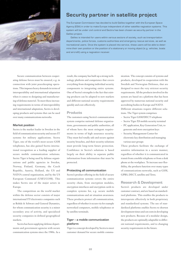

### **Security partner in satellite project**

The European Commission has decided to build Galileo together with the European Space Agency (ESA) in order to make Europe independent of other satellite nagivation systems. This system will be under civil control and Sectra has been chosen as security partner in the Galileo project.

Galileo is intended for users within various sectors of society, such as transportation departments, police forces, customs authorities and emergency rescue services, as well as recreational users. Once the system is placed into service, these users will be able to determine their own position or the position of a stationary or moving object (e.g. vehicles, boats and aircraft) using a nagivation receiver.

Secure communication between cooperating defense forces must be ensured, e.g. in connection with joint peacekeeping operations. This imposes heavy demands in terms of interoperability and international adaptation when it comes to designing and manufacturing of defense materiel. To meet these increasing requirements in terms of interoperability and international adaptation, Sectra is developing products and systems that can be used over many communications networks.

### **Market position**

Sectra is the market leader in Sweden in the field of communication security and secure IT systems for military applications. Sectra Tiger, one of the world's most secure GSM telephones, has also gained Sectra international recognition as a leading supplier of secure mobile communication solutions. Sectra Tiger is being used by defense organizations and public agencies in Sweden, Norway, Finland, Germany, the Czech Republic, Austria, Holland, the US and NATO's central organization, and by the US European Command (USEUCOM). This makes Sectra one of the major actors in Europe.

The competition on the world market within the defense sector consists of major international IT/electronics companies such as Rohde & Schwarz and General Dynamics, for whom communication security is a minor secondary area of activity, and specialized security companies in defined geographical markets.

Sectra has been supplying defense departments and government agencies with secure communication systems since the 1980s. As a result, the company has built up a strong technology platform and competence that covers everything from designing individual security components to integrating entire systems. One of Sectra's strengths is the fact that existing products can be adapted to new markets and different national security requirements quickly and cost-effectively.

### **Products**

The customers using Sectra's communication system comprise national defense organizations, governments and public authorities, all of whom have the most stringent requirements in terms of high assurance security. They must feel totally safe and secure against security breaches, and their security solutions must provide long-term future protection. Confidence in Sectra's solutions is based largely on their ability to separate public information from information that must be protected.

### **Protecting all communication**

Sectra's product offering in the field of secure communication systems covers the entire security chain, from encryption modules, encryption interfaces and encryption cards to complete systems for, e.g. secure mobile communications and air situation awareness. These products protect all communication, regardless of whether it occurs via for example networked computers, mobile telephones or by satellite terminals.

### **Tiger – a mobile communication platform**

Tiger is a concept developed by Sectra to meet customer demand for secure mobile communication. The concept consists of systems and products, developed in cooperation with the Swedish and Norwegian Defenses, that are designed to meet the very strictest security requirements. All the products involved in the system are based on a platform that has been approved by numerous national security and accrediting bodies in Europe and NATO. Different situations require different solutions. The Tiger system comprises:

- Sectra Tiger GSM/DECT telephone
- Sectra Tiger XS mobile security terminal
- PC application, Key Generation Unit, to generate and store encryption keys
- Security Management Center for electronic key distribution and managing various user groups

These products facilitate the exchange of sensitive information in a secure manner, regardless of whether it is communicated in transit from a mobile telephone or from a desk phone at the workplace. To increase user flexibility, the products function over many types of communications networks, such as GSM, GPRS, DECT, satellite and Tetra.

### **Research & Development**

Sectra's products are developed under customer contract, and are based on standardized platforms. This enables the products to interoperate effectively in both proprietary and standardized systems. The use of standardized platforms enables Sectra to shorten development times and cut costs in developing new products. Because of a modular design, the products are optimally adaptable to different national requirements, and to changing security requirements in the future.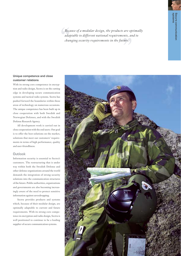Because of a modular design, the products are optimally<br>adaptable to different national requirements, and to<br>changing security requirements in the future. **"** *changing security requirements in the future. adaptable to different national requirements, and to*

### **Unique competence and close customer relations**

With its strong core competence in encryption and radio design, Sectra is on the cutting edge in developing secure communication systems and tactical radio systems. Sectra has pushed forward the boundaries within these areas of technology on numerous occasions. The unique competence has been built up in close cooperation with both Swedish and Norwegian Defenses, and with the Swedish Defense Research Agency.

All development work is carried out in close cooperation with the end users. Our goal is to offer the best solutions on the market, solutions that meet our customers' requirements in terms of high performance, quality and user-friendliness.

### **Outlook**

Information security is essential to Sectra's customers. The restructuring that is under way within both the Swedish Defense and other defense organizations around the world demands the integration of strong security solutions into the communication structures of the future. Public authorities, organizations and governments are also becoming increasingly aware of the need to protect sensitive information against eavesdropping.

Sectra provides products and systems which, because of their modular design, are optimally adaptable to current and future requirements. With its strong core competence in encryption and radio design, Sectra is well positioned to continue to be a leading supplier of secure communication systems.

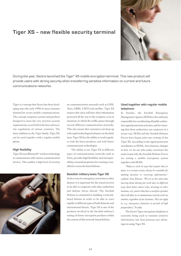

### **Tiger XS – new flexible security terminal**

During the year, Sectra launched the Tiger® XS mobile encryption terminal. This new product will provide users with strong security when transferring sensitive information on current and future communications networks.

Tiger is a concept that Sectra has been developing since the early 1990s to meet customer demand for secure mobile communications. The concept comprises systems and products designed to meet the very strictest security requirements, as set forth in the laws and security regulations of various countries. The latest addition to the Tiger family, Tiger XS, can be used together with a regular mobile phone.

### **High flexibility**

Tiger XS uses Bluetooth® wireless technology to communicate with various communication devices. This enables a high level of security



on communications networks such as GSM, Tetra, GPRS, UMTS and satellite. Tiger XS ensures that users will have their information protected all the way to the recipient, even in situations in which the traffic passes through several different communication networks. This also means that customers can keep up with rapid technological advances in the field, since Tiger XS has the ability to work together with the latest products, and with future communication technologies.

The ability to use Tiger XS in different types of communications networks such as Tetra, provides high flexibility and interoperability, essential properties for creating a costeffective network-based defense.

### **Swedish military tests Tiger XS**

In the event of a emergency, terrorism or other disaster it is important for the armed services to be able to cooperate with other authorities and defense forces abroad. The Swedish Defense is committed to building a networkbased defense in order to be able to react rapidly to different types of both domestic and international threats. Tiger XS is one of the products involved in the Swedish military's testing of future encryption products within the context of this network-based defense.

### **Used together with regular mobile telephone**

In Sweden, the Swedish Emergency Management Agency (SEMA) is the authority responsible for coordinating all public authorities signal protection activities, and for ensuring that these authorities can cooperate in a secure way. SEMA and the Swedish Defense Forces have begun joint user testing of the Tiger XS. According to the signal protection coordinator at SEMA, Arne Jonsson, changes in how we do our jobs today constitute the main reason why the Swedish Defense Forces are testing a mobile encryption system together with SEMA.

*"Today we work in ways that require that we must, to a certain extent, always be reachable for making decisions or receiving information," explains Arne Jonsson. "We are at the same time moving about during our work days in different ways than before (more trips, meetings in other locations, etc), and we thus have a need for a product that will allow us to communicate securely with one another, regardless of our locations. This can apply to, e.g. emergency situations or periods of high preparedness," he adds.*

The Sectra Tiger encryption telephone is currently being used to transmit sensitive information, but Arne Jonsson sees advantages in using Tiger XS.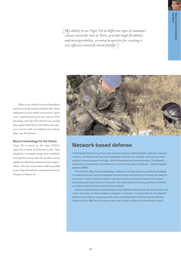The ability to use Tiger XS in different types of communications networks such as Tetra, provides high flexibility<br>and interoperability, essential properties for creating a<br>cost-effective network-based defense. **"** *cost-effective network-based defense.cations networks such as Tetra, provides high flexibility and interoperability, essential properties for creating a*



### **Network-based defense**

The Swedish Defense's primary task was formerly to protect Sweden against a massive invasion, but that threat has now essentially vanished. It is instead important to react quickly to various types of threats, both domestically and internationally. The Swedish Defense is consequently committed to an entirely new type of defense – network-based defense (NBD).

The trend is away from emphasizing investment of large portions of defense budgets in traditional areas such as weapons and personnel and toward an entirely new defense structure in which situation-specific insertion forces and network-based information processing are important cornerstones. The importance of working quickly and flexibly to today's defense forces cannot be overstated.

Network-based defense extends beyond the Swedish Defense Forces. In the event of a crisis, terrorism or other disaster in Sweden or abroad, it is important for the Swedish Defense to be able to cooperate with other authorities and militaries abroad. Similar investments in NBD are currently under way in other countries in the western world.

*"Today we are spoiled in terms of being able to pick out any mobile telephone model we like. Only a small portion of our mobile conversations require secure communication protection, and one of the advantages with Tiger XS is that the users can keep their regular mobile phones and still have the capacity to converse with no unauthorized eavesdropping," says Arne Jonsson.* 

### **Secure technology for the future**

Tiger XS is based on the same NATOapproved security architecture as the Tiger telephone. A modular design and a standardized platform mean that the product can be adapted to differing national security requirements. This also means that it will be possible to use Tiger XS with the communication technologies of tomorrow.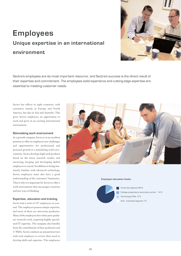# **Employees Unique expertise in an international environment**



Sectra's employees are its most important resource, and Sectra's success is the direct result of their expertise and commitment. The employees solid experience and cutting-edge expertise are essential to meeting customer needs.

Sectra has offices in eight countries, with customers mainly in Europe and North America, but also in Asia and Australia. This gives Sectra employees an opportunity to work and grow in an exciting international environment.

### **Stimulating work environment**

As a growth company, Sectra is in an excellent position to offer its employees new challenges and opportunities for professional and personal growth in a stimulating work environment. Sectra develops high-tech products based on the latest research results, and attracting, keeping and developing skilled employees is crucial. In addition to being intimately familiar with advanced technology, Sectra employees must also have a good understanding of the customers' businesses. That is why it is important for Sectra to offer a work environment that encourages creativity and new ways of thinking.

### **Expertise, education and training**

Sectra had a total of 347 employees at yearend. The employees possess unique expertise, and most of them are university graduates. Many of the employees have done post-graduate research work, acquiring highly specialized IT expertise. The company also benefits from the contributions of four professors and 17 PhDs. Sectra conducts an annual interview with each employee to review their need to develop skills and expertise. The employees



### **Employee education levels:**



University degrees 80 % College-preparatory secondary school, 14 % Technology PhDs 5 % Tech. licentiate degrees 1%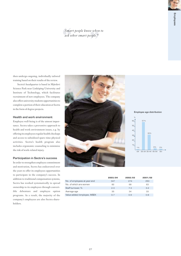### **" "** *Smart people know when to ask other smart people.®*

then undergo ongoing, individually tailored training based on their results of the review.

Sectra's headquarter is based in Mjärdevi Science Park near Linköping University and Institute of Technology, which facilitates recruitment of new employees. The company also offers university students opportunities to complete a portion of their education at Sectra in the form of degree projects.

### **Health and work environment**

Employee well-being is of the utmost importance. Sectra takes a preventive approach to health and work environment issues, e.g. by offering its employees regular health checkups and access to subsidized spare-time physical activities. Sectra's health program also includes ergonomic counseling to minimize the risk of work-related injury.

### **Participation in Sectra's success**

In order to strengthen employee commitment and motivation, Sectra has endeavored over the years to offer its employees opportunities to participate in the company's success. In addition to traditional compensation systems, Sectra has worked systematically to spread ownership to its employees through convertible debenture and employee option programs. As a result, the majority of the company's employees are also Sectra shareholders.



|               |       |     |     | Employee age distribution |       |
|---------------|-------|-----|-----|---------------------------|-------|
| $\frac{0}{0}$ |       |     |     |                           |       |
| 60            |       | 57% |     |                           |       |
| 50            |       |     |     |                           |       |
| 40            |       |     |     |                           |       |
| 30            |       |     | 33% |                           |       |
| 20            |       |     |     |                           |       |
| 10            |       |     |     |                           |       |
|               | 1%    |     |     | 6%                        | 3%    |
|               | $-24$ |     |     | 25-34 35-44 45-54         | $55-$ |
|               |       |     |     |                           |       |

|                              | 2003/04 | 2002/03 | 2001/02 |
|------------------------------|---------|---------|---------|
| No. of employees at year-end | 347     | 274     | 250     |
| No. of which are women       | 82      | 68      | 63      |
| Staff turnover, %            | 2.3     | 7.3     | 3.2     |
| Average age                  | 35      | 34      | 33      |
| Value added/employee, MSEK   | n 7     | 0.9     | 0.8     |

**Employee age distribution**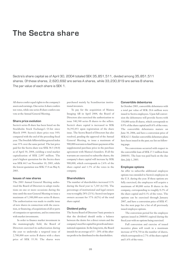### **The Sectra share**

Sectra's share capital as of April 30, 2004 totaled SEK 35,851,511, divided among 35,851,511 shares. Of these shares, 2,620,692 are series A shares, while 33,230,819 are series B shares. The par value of each share is SEK 1.

All shares confer equal rights to the company's assets and earnings. One series A share confers ten votes, while one series B share confers one vote at the Annual General Meeting.

### **Share price evolution**

Sectra's series B share has been listed on the Stockholm Stock Exchange's O-list since March 1999. Sectra's share price rose 54% compared with the end of the preceding fiscal year. The Swedish Affärsvärlden general index rose 35% over the same period. The last price paid for the Sectra share was SEK 58.5 (38.0) as of April 30, 2004, yielding a total market capitalization of SEK 2,097 million. The year's highest quotation for the Sectra share was SEK 64.5 on November 10, 2003, while the lowest quotation was SEK 37.0 on May 8, 2003.

#### **Issues of new shares**

The 2003 Annual General Meeting authorized the Board of Directors to adopt resolutions on one or more occasions during the time until the next General Meeting to issue a maximum of 3,300,000 new series B shares. The authorization was made to enable issue of new shares in connection with the execution, or financing, of acquisitions of all or parts of companies or operations, and in connection with market investments.

In order to finance market investment in the mammography field, the Board of Directors exercised its authorization during the year to undertake a targeted issue of 2,700,000 new series B shares with a share price of SEK 55.50. The shares were

purchased mainly by Scandinavian institutional investors.

To pay for the acquisition of Mamea Imaging AB in April 2004, the Board of Directors also exercised the authorization to issue 540,540 series B shares to the sellers. Sectra's share capital is increased to SEK 36,392,051 upon registration of the share issue. The Sectra Board of Directors has also resolved, pending the approval of the Annual General Meeting, to issue a maximum of 900,000 warrants to fund future payment of the supplemental purchase price in the purchase agreement with Mamea's founders. If all the warrants are exercised to subscribe shares, the company's share capital will increase by SEK 900,000, which corresponds to 2.6% of the share capital and 1.5% of the votes in the company.

### **Shareholders**

The number of shareholders increased 11% during the fiscal year to 7,245 (6,530). The percentage of institutional and legal owners rose to roughly 28% (21%). Sectra's ten largest owners account for 57% (62%) of the total share capital.

### **Dividend policy**

The Sectra Board of Directors' basic premise is that the dividend should strike a balance between the desire for a direct return and the company's need for capital for growth and international expansion. In the long term, the Board intends for an average of 15 – 20% of the aftertax profit to be distributed to the shareholders.

### **Convertible debentures**

In October 2003, convertible debentures with a total par value of SEK 20.6 million were issued to Sectra employees. Upon full conversion the debentures will provide Sectra with 330,000 series B shares, which corresponds to 0.9% of the share capital and 0.6% of the votes. The convertible debentures mature on June 30, 2006, and have a conversion price of SEK 62.5. Similar convertible debenture plans have been issued in the past; see list on following page.

No conversions occurred with respect to the convertible loan of SEK 27.5 million from 2000/01. The loan was paid back on the due date, July 1, 2003.

#### **Employee options**

An offer to subscribe additional employee options was extended to Sectra's employees in the U.S. during the year. If these options are fully exercised, the employees will acquire a maximum of 80,000 series B shares in the company, corresponding to roughly 0.2% of the share capital and 0.1% of the votes. The options can be exercised through January 2007, and have a conversion price of SEK 47. See the next page for a list of all previously issued employee options.

The conversion period for the employee options issued in 2000/01 expired during the fiscal year with no options being exercised.

Full conversion and exercise of issued incentive plans will result in a maximum increase of 974,750 in the number of shares, which corresponds to 2.7% of the share capital and 1.6% of the votes.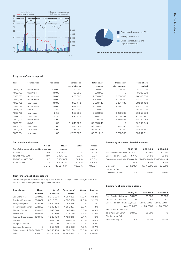

© SIX



Swedish private owners 71 % Foreign owners 7 %

Swedish institutional and

legal owners 22 %

**Breakdown of shares by owner category**

### **Progress of share capital**

| Year    | <b>Transaction</b> | Par value | Increase in   | Total no. of | Increase in   | <b>Total share</b> |
|---------|--------------------|-----------|---------------|--------------|---------------|--------------------|
|         |                    |           | no, of shares | shares       | share capital | capital            |
| 1995/96 | Bonus issue        | 100.00    | 20000         | 80000        | 2000000       | 8000000            |
| 1996/97 | Split 10:1         | 10.00     | 720000        | 800000       | 0             | 8000000            |
| 1996/97 | Bonus issue        | 10.00     | 200 000       | 1000000      | 2000000       | 10 000 000         |
| 1997/98 | Bonus issue        | 10.00     | 200 000       | 1 200 000    | 2000000       | 12 000 000         |
| 1997/98 | New issue          | 10.00     | 880 143       | 2080143      | 8801430       | 20 801 430         |
| 1998/99 | Bonus issue        | 10.00     | 419857        | 2 500 000    | 4 198 570     | 25 000 000         |
| 1998/99 | Split 4:1          | 2.50      | 7 500 000     | 10 000 000   | 0             | 25 000 000         |
| 1998/99 | New issue          | 2.50      | 500 000       | 10 500 000   | 1 250 000     | 26 250 000         |
| 1999/00 | New issue          | 2.50      | 420315        | 10920315     | 1050787       | 27 300 787         |
| 2000/01 | Bonus issue        | 3.00      | 0             | 10920315     | 5460158       | 32 760 945         |
| 2000/01 | Split 3:1          | 1.00      | 21840630      | 32 760 945   | 0             | 32 760 945         |
| 2002/03 | New issue          | 1.00      | 315566        | 33 076 511   | 315 566       | 33076511           |
| 2003/04 | New issue          | 1.00      | 75000         | 33 151 511   | 75000         | 33 151 511         |
| 2003/04 | New issue          | 1.00      | 2 700 000     | 35 851 511   | 2 700 000     | 35 851 511         |
|         |                    |           |               |              |               |                    |

### **Distribution of shares**

|                                       | No. of | No. of     | <b>Votes</b> | <b>Share</b> |
|---------------------------------------|--------|------------|--------------|--------------|
| No. of shares per shareholders owners |        | shares     |              | capital      |
| $1 - 10000$                           | 7098   | 5378291    | 9.1%         | 15.0%        |
| 10 001-100 000                        | 107    | 3 165 429  | 6.0%         | 8.8%         |
| 100 001-1 000 000                     | 33     | 10 132 027 | 24.7%        | 28.3%        |
| >1000001                              |        | 17 175 764 | 60.2%        | 47.9%        |
|                                       | 7245   | 35 851 511 | 100.0%       | 100.0%       |

### **Summary of convertible debentures**

|                                                                | 2001/02      | 2002/03 | 2003/04                    |
|----------------------------------------------------------------|--------------|---------|----------------------------|
| No. of series B shares                                         | 308 200      | 171550  | 330 000                    |
| Conversion price, SEK                                          | 57.70        | 64.80   | 62.50                      |
| Conversion period May 15-June 14 May 16-June 14 May 16-June 14 |              |         |                            |
|                                                                | 2004         | 2005    | 2006                       |
| Expiration                                                     | July 1, 2004 |         | July, 1 2005 June, 30 2006 |
| Dilution at full                                               |              |         |                            |
| conversion, capital                                            | 0.9%         | 0.5%    | 0.9 %                      |

### **Sectra's largest shareholders**

Sectra's largest shareholders as of April 30, 2004 according to the share register kept by the VPC, plus subsequent changes known to Sectra.

| <b>Shareholder</b>            | No. of    | No. of          | Total no. of | Votes. | Capital, |
|-------------------------------|-----------|-----------------|--------------|--------|----------|
|                               | A shares  | <b>B</b> shares | shares       | $\%$   | %        |
| Jan-Olof Brüer                | 638059    | 3719904         | 4 357 963    | 17.0%  | 12.2%    |
| Torbjörn Kronander            | 638057    | 3719901         | 4 357 958    | 17.0%  | 12.2%    |
| Frithjof Qvigstad             | 332 866   | 2 422 569       | 2 755 435    | 9.7%   | 7.7%     |
| Robert Forchheimer            | 202 203   | 1 348 104       | 1550307      | 5.7%   | 4.3%     |
| Thomas Ericson                | 196329    | 1 349 044       | 1 545 373    | 5.6%   | 4.3%     |
| Viiveke Fåk                   | 196 629   | 1 320 150       | 1516779      | 5.5%   | 4.2%     |
| Ingemar Ingemarsson           | 196316    | 1 228 499       | 1424815      | 5.4%   | 4.0%     |
| Nordea                        | O         | 1 209 000       | 1 209 000    | 2.0%   | 3.4%     |
| Tredje AP-Fonden              | Ο         | 1 000 000       | 1 000 000    | 1.7%   | 2.8%     |
| Lannebo Småbolag              | Ο         | 955 450         | 955 450      | 1.6%   | 2.7%     |
| Other (roughly 7,235) 220 233 |           | 14 958 198      | 14 958 198   | 28.9%  | 42.3%    |
| Total                         | 2 620 692 | 33 230 819      | 35 851 511   | 100.0% | 100.0%   |

### **Summary of employee options**

|                                                                | 2001/02 | 2002/03                                   | 2003/04 |
|----------------------------------------------------------------|---------|-------------------------------------------|---------|
| No. of series B shares                                         | 30,000  | 55 000                                    | 80.000  |
| Conversion price, SEK                                          | 42      | 42                                        | 47      |
| Conversion period Nov. 29, 2002- Nov. 29, 2003- Nov. 29, 2004- |         |                                           |         |
|                                                                |         | Jan. 28, 2005 Jan. 28, 2006 Jan. 28, 2007 |         |
| Exercised no of shares                                         |         |                                           |         |
| as of April 30, 2004                                           | 50.000  | 25 000                                    |         |
| Dilution when fully                                            |         |                                           |         |
| exercised, capital                                             | 0.1%    | n 2 %                                     | U 5 N   |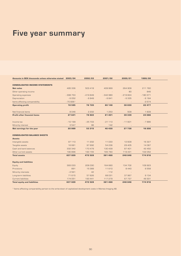# **Five year summary**

| Amounts in SEK thousands unless otherwise stated 2003/04 |                        | 2002/03   | 2001/02   | 2000/01   | 1999/00   |  |
|----------------------------------------------------------|------------------------|-----------|-----------|-----------|-----------|--|
| <b>CONSOLIDATED INCOME STATEMENTS</b>                    |                        |           |           |           |           |  |
| <b>Net sales</b>                                         | 495 336                | 503 418   | 409 969   | 264 909   | 211760    |  |
| Other operating income                                   |                        |           |           | 80        | 846       |  |
| <b>Operating expenses</b>                                | $-398753$              | $-419849$ | $-342980$ | $-219824$ | $-180371$ |  |
| Depreciation                                             | $-6052$                | $-6849$   | $-6841$   | $-6335$   | $-6184$   |  |
| Items affecting comparability                            | $-70936$ <sup>11</sup> |           |           |           | $-3574$   |  |
| <b>Operating profit</b>                                  | 19595                  | 76720     | 60 148    | 38830     | 22 477    |  |
| Net financial items                                      | 8046                   | 5 5 0 5   | 1 2 5 3   | 509       | 1 609     |  |
| <b>Profit after financial items</b>                      | 27 641                 | 78922     | 61401     | 39 339    | 24 086    |  |
| Income tax                                               | $-10199$               | $-25703$  | $-21113$  | $-11601$  | $-7886$   |  |
| Minority interest                                        | 3547                   | 96        | 142       |           |           |  |
| Net earnings for the year                                | 20989                  | 53 315    | 40 430    | 27738     | 16 200    |  |
| <b>CONSOLIDATED BALANCE SHEETS</b>                       |                        |           |           |           |           |  |
| <b>Assets</b>                                            |                        |           |           |           |           |  |
| Intangible assets                                        | 97 110                 | 11 202    | 11 033    | 12 609    | 16 327    |  |
| Tangible assets                                          | 16681                  | 97 692    | 54 236    | 29 4 05   | 14 087    |  |
| Cash and bank balances                                   | 332 342                | 170479    | 130439    | 87 401    | 42 450    |  |
| Other current assets                                     | 190896                 | 193 155   | 165 760   | 119 431   | 102 052   |  |
| <b>Total assets</b>                                      | 637029                 | 472 528   | 361468    | 248 846   | 174916    |  |
| <b>Equity and liabilities</b>                            |                        |           |           |           |           |  |
| Equity                                                   | 393033                 | 206 030   | 164 660   | 134 702   | 109 923   |  |
| <b>Provisions</b>                                        | 891                    | 15 3 8 9  | 11610     | 8440      | 6558      |  |
| Minority interests                                       | $-2561$                | 42        | $-112$    |           |           |  |
| Long-term liabilities                                    | 71615                  | 57 626    | 68031     | 37967     | 9 1 3 4   |  |
| <b>Current liabilities</b>                               | 174051                 | 193 441   | 117 279   | 67737     | 49 301    |  |
| <b>Total equity and liabilities</b>                      | 637029                 | 472 528   | 361468    | 248 846   | 174916    |  |

1 ) Items affecting comparability pertain to the write-down of capitalized development costs in Mamea Imaging AB.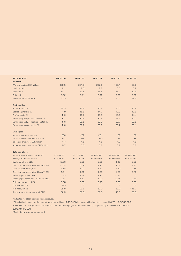| <b>KEY FIGURES<sup>31</sup></b>                        | 2003/04    | 2002/03    | 2001/02    | 2000/01    | 1999/00    |
|--------------------------------------------------------|------------|------------|------------|------------|------------|
| <b>Financial</b>                                       |            |            |            |            |            |
| Working capital, SEK million                           | 480.5      | 291.0      | 237.9      | 182.1      | 125.6      |
| Liquidity ratio                                        | 3.1        | 2.0        | 2.6        | 3.3        | 3.2        |
| Solvency, %                                            | 61.7       | 43.6       | 45.6       | 54.1       | 62.9       |
| Debt ratio                                             | 0.22       | 0.41       | 0.45       | 0.29       | 0.08       |
| Investments, SEK million                               | 37.9       | 5.1        | 8.8        | 10.3       | 24.6       |
| <b>Profitability</b>                                   |            |            |            |            |            |
| Gross margin, %                                        | 19.5       | 16.6       | 16.4       | 15.5       | 16.8       |
| Operating margin, %                                    | 4.0        | 15.2       | 14.7       | 13.3       | 13.6       |
| Profit margin, %                                       | 5.6        | 15.7       | 15.0       | 13.5       | 14.4       |
| Earning capacity of total capital, %                   | 6.1        | 20.6       | 21.2       | 18.6       | 17.1       |
| Earning capacity of working capital, %                 | 8.8        | 32.5       | 30.0       | 26.7       | 26.9       |
| Earning capacity of equity, %                          | 5.8        | 28.7       | 26.9       | 22.7       | 20.1       |
| <b>Employees</b>                                       |            |            |            |            |            |
| No. of employees, average                              | 296        | 262        | 221        | 182        | 156        |
| No. of employees at end of period                      | 347        | 274        | 250        | 185        | 166        |
| Sales per employee, SEK million                        | 1.7        | 1.9        | 1.9        | 1.6        | 1.2        |
| Added value per employee, SEK million                  | 0.7        | O.9        | 0.6        | 0.7        | 0.7        |
| Data per share                                         |            |            |            |            |            |
| No. of shares at fiscal year-end 111                   | 35 851 511 | 33 076 511 | 32 760 945 | 32 760 945 | 32 760 945 |
| Average number of shares                               | 33 326 511 | 32 918 728 | 32 760 945 | 32 760 945 | 32 130 472 |
| Equity per share, SEK                                  | 10.96      | 6.23       | 5.03       | 4.12       | 3.36       |
| Cash flow per share after dilution <sup>21</sup> , SEK | 10.52      | 6.09       | 4.91       | 4.04       | 3.33       |
| Cash flow per share, SEK                               | 1.68       | 1.92       | 1.53       | 1.10       | 0.75       |
| Cash flow per share after dilution <sup>21</sup> , SEK | 1.61       | 1.88       | 1.50       | 1.09       | 0.76       |
| Earnings per share, SEK                                | 0.63       | 1.62       | 1.23       | 0.85       | 0.51       |
| Earnings per share after dilution <sup>21</sup> , SEK  | 0.61       | 1.57       | 1.20       | 0.84       | 0.49       |
| Dividend per share, SEK                                | 0.50       | 0.50       | 0.40       | 0.30       | 0.20       |
| Dividend yield, %                                      | 0.9        | 1.3        | 0.7        | 0.7        | 0.3        |
| P/E ratio, times                                       | 92.9       | 23.6       | 50.0       | 50.0       | 115.7      |
| Share price at fiscal year-end, SEK                    | 58.5       | 38.0       | 62.0       | 42.5       | 59.0       |

<sup>1)</sup> Adjusted for stock splits and bonus issues.

<sup>2)</sup> The dilution is based on the current unregistered issue (540.540) plus convertible debentures issued in 2001/02 (308.200), 2002/03 (171.550) and 2003/04 (330.000), and on employee options from 2001/02 (30.000) 2002/03 (55.000) and 2003/04 (80.000)

<sup>3)</sup> Definition of key figures, page 46.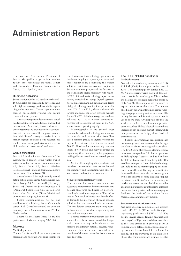### **Administration Report**

The Board of Directors and President of Sectra AB (publ.), organization number 556064-8304, hereby issue the Annual Report and Consolidated Financial Statements for May 1, 2003 – April 30, 2004.

### **Business activities**

Sectra was founded in 1978 and since the mid-1980s, Sectra has successfully developed and sold high-technology products within expanding niche segments. Current operations are focused on medical systems and secure communication systems.

Sectra's strategy is to let customers' actual needs guide the technical advances and product development. As a result, Sectra endeavors to develop systems and products in close cooperation with the end users. This approach, combined with Sectra's strong expertise in each market segment and close ties to research, has resulted in advanced products characterized by high quality and strong user-friendliness.

### **Group structure**

Sectra AB is the Parent Company of the Group, which comprises the wholly-owned active subsidiaries Sectra Communications AB, Sectra Imtec AB, Sectra Wireless Technologies AB, and one dormant company, Sectra Secure Transmission AB.

Sectra Imtec AB has eight wholly-owned active subsidiaries: Sectra Skandinavien AB, Sectra Norge AS, Sectra GmbH (Germany), Sectra A/S (Denmark), Sectra Pronosco A/S (Denmark), Sectra Italia S.r.l, Sectra North America Inc, Sectra Ltd (Great Britain), and one dormant company, Paxlink AB.

Sectra Communications AB has one wholly-owned subsidiary, Sectra Communications Ltd (Great Britain) and the dormant company, Sectra Communications BV (The Netherlands).

Sectra AB and Sectra Imtec AB are also part-owners of Mamea Imaging AB (95%).

### **Markets**

### **Medical systems**

The market for medical systems is growing rapidly. Many hospitals are opting to improve

the efficiency of their radiology operations by implementing digital systems, and more and more countries are demanding the system solutions that Sectra has to offer. Hospitals in Scandinavia have progressed the farthest in the transition to digital radiology, with roughly 90% of Scandinavia radiology departments having switched to using digital systems. Sectra's market share in Scandinavia in terms of digital radiology examinations performed is over 50%. In the U.S., which is the world's largest and one of the fastest growing markets for medical IT, digital radiology systems have achieved 15 – 25% market penetration. Substantial sales potential exists in the U.S. where Sectra is growing rapidly.

Mammography is the second most commonly performed radiology examination in the world, and the transition from filmbased mammography to digital systems has begun. It is estimated that there are around 30,000 film-based mammography systems installed worldwide, and many countries are expanding their mammography programs, making this an area with major growth potential.

Sectra offers high-quality products that have been developed to meet market demand for scalability and integration with other IT systems used in hospital environments.

### **Secure communication systems**

The market for secure communication systems is characterized by investment in new defense structures predicated on networkbased information management. The information flow involved in network-based defense demands the integration of strong security solutions into the communication structures. The new defense structures are placing heavier demands in terms of interoperability and international adaptation.

Sectra's encryption products are based on standardized platforms and a modular design, which means that they can be adapted to new markets and different national security requirements. These features are essential to the creation of the new, cost-effective networkbased defense.

### **The 2003/2004 fiscal year Medical systems**

Net sales for medical systems totaled SEK 418.4 M (386.0) for the year, an increase of 8.4%. The operating profit totaled SEK 0.0 M. A nonrecurring write-down of development costs for Mamea Imaging AB carried on the balance sheet encumbered the profit by SEK 70.9 M. The company has continued to expand in international markets. The number of radiology departments using Sectra's radiology image-processing system increased 30% during the year, and Sectra's system is now in use in more than 500 hospitals around the world. In the U.S., established cooperative partners such as Philips Medical Systems have increased both sales and market shares, while new partners such as Eclipsys have finalized their first deals.

Sectra's international organization has been strengthened in many countries through the addition of new mammography specialists. The first Sectra MicroDose Mammography units have been put into full clinical operation at Helsingborgs Lasarett, and at Klinikum Krefeld in Germany. These hospitals offer excellent examples of how digital technology can help to make mammography examinations more efficient. During the year, Sectra increased its investments in the mammography field in order to become a leading supplier in this market. Sectra's aim in increasing its marketing resources and building up sales channels in numerous countries is to establish Sectra as a leading actor in the mammography field on the basis of our unique Sectra MicroDose Mammography system.

#### **Secure communication systems**

Net sales of secure communication systems totaled SEK 72.5 M (102.6) for the fiscal year. Operating profit totaled SEK 0.2 M. The decline in sales occurred mainly because batch ordering of the Tiger system did not take place to the same extent as in previous years. A number of new defense and government agency customers have ordered initial volumes for testing, and are currently in an evaluation phase. Our communications business was also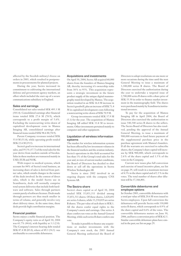affected by the Swedish military's freeze on orders in 2003, which resulted in postponements in procurements for planned projects.

During the year, Sectra increased its commitment to cultivating the international defense and government agency markets, an effort which included the start-up of a secure communications subsidiary in England.

### **Sales and earnings**

Consolidated net sales totaled SEK 495.3 M (503.4). Consolidated earnings after financial items totaled SEK 27.6 M (78.9), which corresponds to a profit margin of 5.6%. Excluding the nonrecurring write-down of capitalized development costs in Mamea Imaging AB, consolidated earnings after financial items totaled SEK 98.6 M (78.9).

Parent Company revenues totaled SEK 53.0 M (51.8), while operating profit totaled SEK 22.6 M (19.5).

Sectra's goal is to increase its international sales, and 59.3% (57.7) of the total sales for the year derive from markets outside of Sweden. Sales in these markets are transacted mainly in USD, EUR and NOK.

With respect to medical systems, which account for 84% of Sectra's total business, an increasing share of sales is derived from partner sales, which entails changes in the nature of the deals involved. In the context of direct sales, which is the model Sectra use in Scandinavia, deals will normally comprise total system deliveries that include both hardware and software. Sales through partners consist purely of software licenses. Deals made through partners are thus much smaller in terms of volume, and generally involve very short delivery times. At the same time, these deals provide high contribution margins.

### **Financial position**

Sectra enjoys a stable financial position. The Company's equity ratio as of April 30, 2004 was 61.7% (44.6), with liquidity at 3.1 (2.0). The Company's interest-bearing debt totaled SEK 87.4 M (85.0), where of 49.3 (54.5) was attributable to convertible debentures.

#### **Acquisitions and investments**

On April 30, 2004, Sectra AB acquired 60,000 shares from the founders of Mamea Imaging AB, thereby increasing it's ownership stake from 38% to 95%. This acquisition represents a strategic investment in the future product supply of the unique digital mammography stand developed by Mamea. The acquisition resulted in an SEK 16.4 M increase in Sectra's goodwill, plus an increase of SEK 71.4 M in capitalized development costs following a nonrecurring write-down of SEK 70.9 M.

Group investments totaled SEK 37.9 M (5.1) for the year. The acquisition of Mamea Imaging AB added SEK 33.8 M to investments. Other investments pertained mainly to computer and other equipment.

### **Liquidation of wireless information systems**

The market for wireless information systems has been affected by low investment volumes in the financial markets and the aviation industry. Sectra's operations in this field accounted for less than 1% of the Group's total sales for the year and, in view of current market conditions, the Board of Directors has decided to shut down or sell off the operations in Sectra Wireless Technologies AB.

Sectra is since 2002 involved in an ongoing dispute with the company CNS Systems AB.

### **The Sectra share**

Sectra's share capital as of April 30, 2004 totaled SEK 35,851,511 divided among 35,851,511 shares. Of these shares, 2,620,692 are series A shares, while 33,230,819 are series B shares. The par value of each share is SEK 1. All the shares confer equal rights to the Company's assets and earnings. One series A share confers ten votes at the Annual General Meeting, while each series B share confers one vote.

To make it possible to finance any acquisitions or market investments with the Company's own stock, the 2003 Annual General Meeting authorized the Board of

Directors to adopt resolutions on one more or more occasions during the time until the next General Meeting to issue a maximum of 3,300,000 series B shares. The Board of Directors exercised the authorization during the year to undertake a targeted issue of 2,700,000 series B shares with a share price of SEK 55.50 in order to finance market investment in the mammography field. The shares were purchased mainly by Scandinavia institutional investors.

To pay for the acquisition of Mamea Imaging AB in April 2004, the Board of Directors also exercised the authorization to issue 540,540 series B shares to the sellers. The Sectra Board of Directors has also resolved, pending the approval of the Annual General Meeting, to issue a maximum of 900,000 warrants to fund future payment of the supplemental purchase price in the purchase agreement with Mamea's founders. If all the warrants are exercised to subscribe shares, the Company's share capital will increase by SEK 900,000, which corresponds to 2.6% of the share capital and 1.5% of the votes in the Company.

Current new issues plus full conversion and exercise of issued incentive plans, see list on page 29, will result in a maximum increase of 4.3% in the share capital and of 2.5% in the votes. The total number of shares after dilution will be 37,366,801.

### **Convertible debentures and employee options**

In October 2003, convertible debentures with a total par value of SEK 20.6 M were issued to Sectra employees. Upon full conversion the debentures will provide Sectra with 330,000 series B shares, which corresponds to 0.9% of the share capital and 0.6% of the votes. The convertible debentures mature on June 30, 2006, and have a conversion price of SEK 62.5. Similar convertible debenture plans have existed in the past; see list on page 29.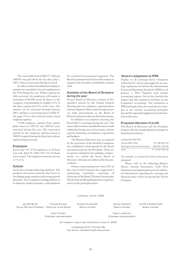The convertible loan of SEK 27.5 M from 2000/01 was paid off on the due date, July 1, 2003, with no conversions having occurred.

An offer to subscribe additional employee options was extended to Sectra's employees in the USA during the year. If these options are fully exercised, the employees will acquire a maximum of 80,000 series B shares in the company, corresponding to roughly 0.2% of the share capital and 0.1% of the votes. The options can be exercised through January 2007, and have a conversion price of SEK 47. See page 29 for a list of all previously issued employee options.

75,000 employee options from option plans issued in 2001/02 and 2002/03 were exercised during the year. The conversion period for the employee options issued in 2000/01 expired during the fiscal year with no options being exercised.

### **Employees**

Sectra had 347 (274) employees as of fiscal year-end, April 30, 2004, 24% (25) of whom were women. The employee turnover rate was 2.3% (7.3).

### **Outlook**

Sectra has a strong technology platform. The products and system solutions that Sectra is developing target markets with strong growth potential. The Company's leading position in its domestic market provides a solid platform for continued international expansion. The Board's assessment that Sectra will continue to expand with favorable profitability remains valid.

### **Activities of the Board of Directors during the year**

Sectra's Board of Directors consists of five members elected by the Annual General Meeting plus two employee representatives with two deputies. Other senior Group executives make presentations to the Board of Directors whenever they are deemed necessary.

In addition to its statutory meeting, the Board held 11 meetings during the year. The issues addressed have included business trends within the Group, year-end accounts, interim reports, financing, investments, acquisitions and budgets.

The Board of Directors has, as required by the provisions of the Swedish Companies Act, established a fixed agenda for the Board and instructions for the President. There are no special committees for auditing, compensation, etc. within the Sectra Board of Directors. All issues are addressed by the entire Board.

Owners representing more than 50% of the votes in the Company have appointed a nominating committee consisting of Chairman of the Board Thomas Ericsson plus Viiveke Fåk and Bengt Bengtsson as representatives of the principal owners.

### **Sectra's adaptation to IFRS**

Similar to all exchange-listed companies within the EU, Sectra must apply the accounting regulations set forth in the International Financial Reporting Standards (IFRS) as of January 1, 2005. Together with outside accounting experts, Sectra has clarified the impact that this transition will have on the Company's accounting. The transition to IFRS principles does not entail known changes in our current accounting principles beyond the expanded supplementary information in the notes.

### **Proposed allocation of profit**

The Board of Directors and the President propose that the unappropriated earnings be distributed as follows:

| Divided (36.392.051)                         |                |
|----------------------------------------------|----------------|
| shares SEK 0.50)                             | 18 196 025 50  |
| Earnings to be carried forward 99 022 124.92 |                |
| Total                                        | 117 218 150.42 |

No transfer to restricted reserves has been proposed.

Please refer to the following Balance Sheets, Income Statements, Cash Flow Statements and appurtenant notes for additional information regarding the earnings and financial status of the Group and the Parent Company.

Linköping, June 2, 2004

Group CEO and President Chairman of the Board Board member Board member Board member

Employee representative Employee representative

Jan-Olof Brüer Thomas Ericson Torbjörn Kronander Gündor Rentsch Carl-Erik Ridderstråle

Karin Partain Claes Lundström

Our auditor's report was submitted on June 4, 2004

Lindebergs Grant Thornton AB Ivar Verner, Certified Public Accountant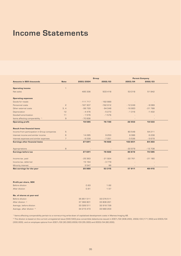# **Income Statements**

|                                              |                | Group      |            | <b>Parent Company</b> |          |  |
|----------------------------------------------|----------------|------------|------------|-----------------------|----------|--|
| <b>Amounts in SEK thousands</b>              | <b>Note</b>    | 2003/2004  | 2002/03    | 2003/04               | 2002/03  |  |
|                                              |                |            |            |                       |          |  |
| <b>Operating income</b>                      | $\mathbf{1}$   |            |            |                       |          |  |
| Net sales                                    |                | 495 336    | 503 418    | 53018                 | 51842    |  |
| <b>Operating expenses</b>                    |                |            |            |                       |          |  |
| Goods for resale                             |                | $-111717$  | $-16289$   |                       |          |  |
| Personnel costs                              | $\overline{c}$ | $-187307$  | $-162912$  | $-12249$              | $-9089$  |  |
| Other external costs                         | 3, 4           | $-99729$   | $-94048$   | $-16900$              | $-21788$ |  |
| Depreciation                                 | 12             | $-4476$    | $-5273$    | $-1316$               | $-1432$  |  |
| Goodwill amortization                        | 11             | $-1576$    | $-1576$    |                       |          |  |
| Items affecting comparability <sup>11</sup>  | $\overline{9}$ | $-70936$   |            |                       |          |  |
| <b>Operating profit</b>                      |                | 19595      | 76720      | 22 553                | 19533    |  |
| <b>Result from financial items</b>           |                |            |            |                       |          |  |
| Income from participation in Group companies | 5              | $\sim$     |            | 80 548                | 64 211   |  |
| Interest income and similar income           | 6              | 14 285     | 9 2 5 3    | 6086                  | 6238     |  |
| Interest expenses and similar expenses       | 7              | $-6239$    | $-7051$    | $-5536$               | $-5679$  |  |
| <b>Earnings after financial items</b>        |                | 27 641     | 78922      | 103 651               | 84 303   |  |
| Appropriations                               | 8              |            |            | $-22979$              | $-13708$ |  |
| <b>Earnings before tax</b>                   |                | 27 641     | 78922      | 80 672                | 70 595   |  |
| Income tax, paid                             |                | $-25363$   | $-21924$   | $-22761$              | $-21180$ |  |
| Income tax, deferred                         |                | 15 164     | $-3779$    |                       |          |  |
| Minority interest                            |                | 3547       | 96         |                       |          |  |
| Net earnings for the year                    |                | 20989      | 53 315     | 57911                 | 49 4 15  |  |
|                                              |                |            |            |                       |          |  |
| <b>Profit per share, SEK</b>                 |                |            |            |                       |          |  |
| Before dilution                              |                | 0.63       | 1.62       |                       |          |  |
| After dilution                               |                | 0.61       | 1.57       |                       |          |  |
| No. of shares at year-end                    |                |            |            |                       |          |  |
| Before dilution                              |                | 35 851 511 | 33 076 511 |                       |          |  |
| After dilution <sup>21</sup>                 |                | 37 366 801 | 33 806 261 |                       |          |  |
| Average, before dilution                     |                | 33 326 511 | 32 918 728 |                       |          |  |
| Average, after dilution <sup>21</sup>        |                | 34 215 473 | 33 680 203 |                       |          |  |

1 ) Items affecting comparability pertain to a nonrecurring write-down of capitalized development costs in Mamea Imaging AB.

<sup>2)</sup> The dilution is based on the current unregistered issue (540,540) plus convertible debentures issued in 2001/02 (308,200), 2002/03 (171,550) and 2003/04 (330,000), and on employee options from 2001/02 (30,000) 2002/03 (55,000) and 2003/04 (80,000).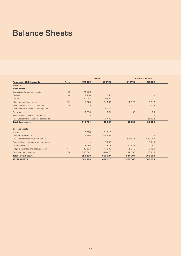# **Balance Sheets**

|                                       |             | Group                    |          | <b>Parent Company</b> |        |  |
|---------------------------------------|-------------|--------------------------|----------|-----------------------|--------|--|
| <b>Amounts in SEK thousands</b>       | <b>Note</b> | 040430                   | 030430   | 040430                | 030430 |  |
| <b>ASSETS</b>                         |             |                          |          |                       |        |  |
| <b>Fixed assets</b>                   |             |                          |          |                       |        |  |
| Capitalized development costs         | 9           | 71 359                   |          |                       |        |  |
| Patents                               | 10          | 1494                     | 1745     |                       |        |  |
| Goodwill                              | 11          | 24 257                   | 9457     |                       |        |  |
| Machinery and equipment               | 12          | 14773                    | 14 3 5 2 | 5322                  | 5817   |  |
| Participation in Group companies      | 13          |                          |          | 53978                 | 8978   |  |
| Participation in associated companies |             |                          | 8 3 6 6  |                       |        |  |
| Other shares                          |             | 1908                     | 1804     | 39                    | 39     |  |
| Receivables from Group companies      |             |                          |          |                       |        |  |
| Receivables from associated companies |             |                          | 73 170   |                       | 25 132 |  |
| <b>Total fixed assets</b>             |             | 113791                   | 108894   | 59 339                | 39966  |  |
| <b>Current assets</b>                 |             |                          |          |                       |        |  |
| Inventories                           |             | 9950                     | 11719    |                       |        |  |
| Accounts receivable                   |             | 116 286                  | 154 999  |                       | 74     |  |
| Receivables from Group companies      |             | $\overline{\phantom{a}}$ |          | 220 151               | 173914 |  |
| Receivables from associated companies |             |                          | 7243     |                       | 2719   |  |
| Other receivables                     |             | 16066                    | 1516     | 12541                 | 41     |  |
| Prepaid expenses and accrued income   | 14          | 48594                    | 17678    | 2216                  | 2466   |  |
| Cash and bank balances                | 15          | 332 342                  | 170479   | 276399                | 89719  |  |
| <b>Total current assets</b>           |             | 523 238                  | 363 634  | 511307                | 268933 |  |
| <b>TOTAL ASSETS</b>                   |             | 637029                   | 472 528  | 570 646               | 308899 |  |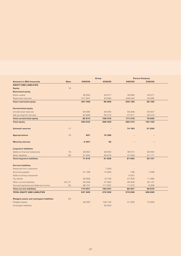|                                                  |             |         | Group    |         | <b>Parent Company</b> |  |
|--------------------------------------------------|-------------|---------|----------|---------|-----------------------|--|
| <b>Amounts in SEK thousands</b>                  | <b>Note</b> | 040430  | 030430   | 040430  | 030430                |  |
| <b>EQUITY AND LIABILITIES</b>                    |             |         |          |         |                       |  |
| <b>Equity</b>                                    | 16          |         |          |         |                       |  |
| <b>Restricted equity</b>                         |             |         |          |         |                       |  |
| Share capital                                    |             | 35 852  | 33077    | 35 852  | 33077                 |  |
| Restricted reserves                              |             | 271507  | 63 583   | 209 342 | 33085                 |  |
| <b>Total restricted equity</b>                   |             | 307 359 | 96 660   | 245 194 | 66 162                |  |
| <b>Unrestricted equity</b>                       |             |         |          |         |                       |  |
| Unrestricted reserves                            |             | 64 685  | 56 055   | 59 308  | 29 527                |  |
| Net earnings for the year                        |             | 20989   | 53 315   | 57911   | 49 415                |  |
| <b>Total unrestricted equity</b>                 |             | 85 674  | 109 370  | 117 219 | 78942                 |  |
| <b>Total equity</b>                              |             | 393033  | 206 030  | 362 413 | 145 104               |  |
| <b>Untaxed reserves</b>                          | 17          |         |          | 74 183  | 51204                 |  |
| <b>Appropriations</b>                            | 18          | 891     | 15 3 8 9 |         |                       |  |
| <b>Minority interest</b>                         |             | $-2561$ | 42       |         |                       |  |
| <b>Long-term liabilities</b>                     |             |         |          |         |                       |  |
| Debts to financial institutions                  | 19          | 39953   | 28 550   | 36074   | 28 550                |  |
| Other liabilities                                | 20          | 31 662  | 29076    | 31549   | 27 171                |  |
| <b>Total long-term liabilities</b>               |             | 71615   | 57 626   | 67 623  | 55 721                |  |
| <b>Current liabilities</b>                       |             |         |          |         |                       |  |
| Advances from customers                          |             |         | 1029     |         |                       |  |
| Accounts payable                                 |             | 21789   | 14 260   | 706     | 1099                  |  |
| Debts to Group companies                         |             |         |          | 6337    |                       |  |
| Tax liability                                    |             | 20569   | 13 100   | 21903   | 11566                 |  |
| Other current liabilities                        | 20, 21      | 32936   | 47955    | 26 409  | 36 147                |  |
| Accrued expenses and deferred income             | 22          | 98757   | 117097   | 11072   | 8058                  |  |
| <b>Total current liabilities</b>                 |             | 174 051 | 193 441  | 66 427  | 56870                 |  |
| <b>TOTAL EQUITY AND LIABILITIES</b>              |             | 637029  | 472 528  | 570 646 | 308 899               |  |
| <b>Pledged assets and contingent liabilities</b> | 23          |         |          |         |                       |  |
| Pledged assets                                   |             | 46 250  | 106 132  | 21 000  | 16 000                |  |
| <b>Contingent liabilities</b>                    |             |         | 25 000   |         |                       |  |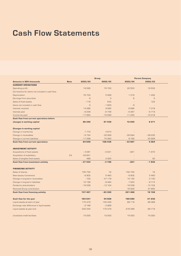# **Cash Flow Statements**

|                                                  |             |            | Group    |          | <b>Parent Company</b> |  |
|--------------------------------------------------|-------------|------------|----------|----------|-----------------------|--|
| <b>Amounts in SEK thousands</b>                  | <b>Note</b> | 2003/04    | 2002/03  | 2003/04  | 2002/03               |  |
| <b>CURRENT OPERATIONS</b>                        |             |            |          |          |                       |  |
| Operating profit                                 |             | 19595      | 76 720   | 22 553   | 19533                 |  |
| Corrections for items not included in cash flow: |             |            |          |          |                       |  |
| Depreciation                                     |             | 76 704     | 5938     | 1316     | 1432                  |  |
| Earnings from securities                         |             | 6          | 3        | 6        | 3                     |  |
| Sales of fixed assets                            |             | $-118$     | 543      |          | 122                   |  |
| Items not included in cash flow                  |             | $\bigcirc$ | $-1600$  | $-9$     |                       |  |
| Interest received                                |             | 14 286     | 9 2 8 2  | 6686     | 7018                  |  |
| Interest paid                                    |             | $-6239$    | $-6748$  | $-6387$  | $-6719$               |  |
| Income tax paid                                  |             | $-17894$   | $-16599$ | $-11220$ | $-12018$              |  |
| <b>Cash flow from current operations before</b>  |             |            |          |          |                       |  |
| changes in working capital                       |             | 86 340     | 67 539   | 12945    | 9371                  |  |
| <b>Changes in working capital</b>                |             |            |          |          |                       |  |
| Change in inventories                            |             | 1770       | 4674     |          |                       |  |
| Change in receivables                            |             | $-6754$    | $-32069$ | $-55694$ | $-28235$              |  |
| Change in current liabilities                    |             | $-17298$   | 70360    | 8782     | 23928                 |  |
| <b>Cash flow from current operations</b>         |             | 64058      | 106 536  | $-33967$ | 5064                  |  |
| <b>INVESTMENT ACTIVITY</b>                       |             |            |          |          |                       |  |
| Acquisitions of fixed assets                     |             | $-4081$    | $-5221$  | $-821$   | $-1972$               |  |
| Acquisition of subsidiary                        | 24          | $-33841$   |          |          |                       |  |
| Sales of tangible fixed assets                   |             | 488        | 2025     |          | 30                    |  |
| <b>Cash flow from investment activity</b>        |             | $-37434$   | $-3196$  | $-821$   | $-1942$               |  |
| <b>FINANCING ACTIVITY</b>                        |             |            |          |          |                       |  |
| Sales of shares                                  |             | 150752     | 16       | 150752   | 16                    |  |
| New issues/conversion                            |             | $-6902$    | 5460     | $-6902$  | 5460                  |  |
| Change in long-term receivables                  |             | $-104$     | $-47178$ | 10 132   | $-3140$               |  |
| Change in long-term liabilities                  |             | 10 199     | $-8494$  | 7524     | $-8774$               |  |
| Divided to shareholders                          |             | $-16538$   | $-13104$ | $-16538$ | $-13104$              |  |
| Received Group contribution                      |             |            |          | 76 500   | 37 650                |  |
| <b>Cash flow from financing activity</b>         |             | 137 407    | $-63300$ | 221468   | 18 108                |  |
| <b>Cash flow for the year</b>                    |             | 164031     | 44 008   | 186 680  | 21230                 |  |
| Liquid assets at start of year                   |             | 170 479    | 130439   | 89719    | 68 489                |  |
| Exchange rate difference in liquid assets        |             | $-2168$    | $-3968$  |          |                       |  |
| Liquid assets at year-end                        |             | 332 342    | 170 479  | 276 399  | 89719                 |  |
| Unutilized credit facilities                     |             | 15 000     | 15 000   | 15 000   | 15 000                |  |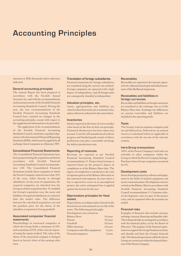# **Accounting Principles**

Amounts in SEK thousands unless otherwise indicated.

### **General accounting principles**

The Annual Report has been prepared in accordance with the Swedish Annual Accounts Act, and with the recommendations and pronouncements of the Swedish Financial Accounting Standards Council. During the year, the new recommendations of the Swedish Financial Accounting Standards Council have entailed no changes in the accounting principles, except with respect to the supplemental information to be provided.

The application of the recommendations of the Swedish Financial Accounting Standards Council constitutes a gradual adaptation to the International Financial Reporting Standards (IFRS), which must be applied by all exchange-listed companies as of January 2005.

### **Consolidated Financial Statements**

The Consolidated Financial Statements have been prepared using the acquisition method in accordance with Swedish Financial Accounting Standards Council recommendation 1:00. The Consolidated Financial Statements include those companies in which the Parent Company controls more than 50% of the votes, either directly or through subsidiaries. In the event of acquisitions, the acquired companies are absorbed into the Group as of their acquisition date. To establish the Group's acquisition cost, the assets and liabilities of acquired subsidiaries are valued at their fair market value. The difference between the calculated acquisition cost and the purchase price for the shares of the subsidiary is reported as Group goodwill.

### **Associated companies' financial statements**

Shareholdings in associated companies in which the Group holds a minimum of 20% and a maximum of 50% of the votes are reported using the equity method. The value of the shares of the associated company is changed based on Sectra's share of the earnings after taxes.

### **Translation of foreign subsidiaries**

Financial statements for foreign subsidiaries are translated using the current rate method. Foreign companies are operated with a high degree of independence, and all foreign units are consequently classified as independent.

### **Valuation principles, etc.**

Assets, appropriations and liabilities are valued at their historical cost or nominal value, unless otherwise indicated in the notes below.

### **Inventories**

Stock is reported at the lower of cost or market value based on the first-in-first-out principle. Estimated obsolescence has been taken into account. Costs for self-manufactured works in progress and finished goods consist of direct production costs plus a reasonable surcharge for indirect production costs.

### **Reporting of revenues**

Revenues are reported as per Swedish Financial Accounting Standards Council recommendation 11. Project-based income is reported based on the project's degree of completion as of the Balance Sheet date. The degree of completion is calculated as the ratio of expenses paid as of the Balance Sheet date to the estimated total expenses. In cases where a loss is expected to occur on an uncompleted project, the entire anticipated loss is applied against the income for the year.

### **Depreciation principles for fixed assets**

Depreciation according to plan is based on the historical cost and estimated service life of the assets. The following periods apply: Development costs carried on Balance Sheet 10 years<br>
Patents 10 years 10 years Goodwill and 10 years 10 years Office furniture 10 years Computers and office equipment 5 years Personal computers 3 years

#### **Receivables**

Receivables are reported at the amount expected to be collected, based upon individual assessment of the likelihood of payment.

### **Receivables and liabilities in foreign currencies**

Receivables and liabilities in foreign currencies are translated at the exchange rate as of the Balance Sheet date. Exchange rate differences on current receivables and liabilities are included in the operating profit.

### **Taxes**

The Group's total tax expenses comprise paid tax and deferred tax. Deferred tax on untaxed reserves is calculated wherever applicable in accordance with the tax rate of the relevant country.

### **Intra-Group transactions**

100% of the Parent Company's total sales are referable to other companies within the Group to which the Parent Company belongs. Purchases from Group companies accounted for 0%.

### **Development costs**

Sectra develops proprietary software and equipment in the fields of medical equipment and secure communications. Development costs are carried on the Balance Sheet in accordance with Swedish Financial Accounting Standards Council recommendation 15. Customer-related development costs are part of the project costs, and are expensed when the accounts are settled.

### **Financial risks**

Examples of financial risks include currency exchange, interest, financing and liquidity risks. These financial risks are managed in accordance with the financial policy set by the Board of Directors. The purpose of the financial operations is to support the Group's business activities and identify and limit the Group's financial risks. The financial operations within the Sectra Group are carried out within the financial function of the Parent Company.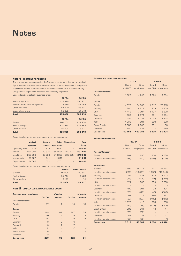### **Notes**

### **NOTE 1 SEGMENT REPORTING**

The primary segments comprise the Group's operational divisions, i.e. Medical Systems and Secure Communication Systems. Other activities are not reported separately, as they comprise such a small share of the total business activity. Geographical regions are reported as secondary segments. Consolidated net sales by business area:

|                                     | 03/04    | 02/03    |
|-------------------------------------|----------|----------|
| <b>Medical Systems</b>              | 418379   | 385 951  |
| <b>Secure Communication Systems</b> | 72499    | 102585   |
| Other activities                    | 57 520   | 66 531   |
| Group eliminations                  | $-53062$ | $-51649$ |
| <b>Total</b>                        | 495 336  | 503 418  |
|                                     | 03/04    | 02/03    |
| Sweden                              | 201 763  | 217254   |
| <b>Rest of Europe</b>               | 270972   | 277 293  |
| Other markets                       | 22 601   | 8871     |
| <b>Total</b>                        | 495 336  | 503 418  |

Group breakdown for the year, based on primary segments:

|                  | <b>Medical</b> | <b>Secure</b> |            | <b>Other Eliminations</b> | <b>Total</b> |
|------------------|----------------|---------------|------------|---------------------------|--------------|
|                  | systems        | comm.         | operations |                           | Group        |
| Operating profit | $-39$          | 203           | 19431      | $\qquad \qquad -$         | 19595        |
| Assets           | 261902         | 50370         |            | 584 584 - 259 827         | 637029       |
| Liabilities      | 292 063        | 36389         |            | 213 920 - 298 375         | 243997       |
| Investments      | 90027          | 241           | 1349       | $\overline{a}$            | 91617        |
| Depreciation     | 74 665         | 571           | 1751       | $\qquad \qquad -$         | 76987        |

Group breakdown for the year, based on secondary segments:

|                | <b>Assets</b> | Investments |
|----------------|---------------|-------------|
| Sweden         | 200 008       | 90521       |
| Rest of Europe | 52717         | 1082        |
| Other markets  | 9 1 7 7       | 14          |
| <b>Total</b>   | 261902        | 91617       |

### **NOTE 2 EMPLOYEES AND PERSONNEL COSTS**

| <b>Average no. of employees</b> |                | of which                 |                | of which       |
|---------------------------------|----------------|--------------------------|----------------|----------------|
|                                 | 03/04          | women                    | 02/03          | women          |
| <b>Parent Company</b>           |                |                          |                |                |
| Sweden                          | 17             | 11                       | 16             | 10             |
| Group                           |                |                          |                |                |
| Sweden                          | 243            | 61                       | 227            | 55             |
| Norway                          | 10             | $\overline{c}$           | 9              | $\mathsf{P}$   |
| <b>USA</b>                      | 16             | $\mathsf{P}$             | 9              | $\overline{c}$ |
| Germany                         | 8              | $\mathsf{P}$             | 6              | 1              |
| <b>Denmark</b>                  | $\overline{a}$ | 1                        | $\overline{7}$ | 1              |
| Italy                           | $\mathsf{P}$   | $\overline{\phantom{a}}$ | $\mathsf{P}$   |                |
| <b>Great Britain</b>            | 6              | $\overline{\phantom{a}}$ | 1              |                |
| Australia                       | $\mathsf{P}$   | $\overline{\phantom{a}}$ | 1              |                |
| <b>Group total</b>              | 296            | 68                       | 262            | 61             |

### **Salaries and other remuneration**

|                       | 03/04        |           | 02/03                    |           |
|-----------------------|--------------|-----------|--------------------------|-----------|
|                       | <b>Board</b> | Other     | <b>Board</b>             | Other     |
|                       | and CEO      | employees | and CEO                  | employees |
| <b>Parent Company</b> |              |           |                          |           |
| Sweden                | 1 2 2 0      | 4748      | 1274                     | 4214      |
|                       |              |           |                          |           |
| Group                 |              |           |                          |           |
| Sweden                | 4377         | 84 3 8 2  | 4317                     | 79515     |
| Norway                | 880          | 4871      | 909                      | 4 3 0 9   |
| <b>USA</b>            | 1 1 1 8      | 7007      | 1437                     | 5508      |
| Germany               | 838          | 2871      | 661                      | 2534      |
| Denmark               | 1455         | 4 1 3 7   | 1058                     | 2952      |
| Italy                 | 1636         | 301       | 350                      | 229       |
| <b>Great Britain</b>  | 2 2 0 7      | 2 2 3 6   | 391                      | 98        |
| Australia             | 650          | 426       | $\overline{\phantom{a}}$ | 189       |
| <b>Group total</b>    | 13 161       | 106 231   | 9 1 2 3                  | 95 334    |

| <b>Social security costs</b> |                          |           |              |           |
|------------------------------|--------------------------|-----------|--------------|-----------|
|                              |                          | 03/04     |              | 02/03     |
|                              | <b>Board</b>             | Other     | <b>Board</b> | Other     |
|                              | and CEO                  | employees | and CEO      | employees |
| <b>Parent Company</b>        |                          |           |              |           |
| Sweden                       | 701                      | 1956      | 700          | 1738      |
| (of which pension costs)     | (366)                    | [841]     | (357)        | (733)     |
| <b>Koncernen</b>             |                          |           |              |           |
| Sweden                       | 2409                     | 38 211    | 2431         | 35 231    |
| (of which pension costs)     | (1229)                   | (16931)   | (1257)       | (15641)   |
| Norway                       | 196                      | 1622      | 178          | 1603      |
| (of which pension costs)     | (56)                     | (695)     | (51)         | (797)     |
| <b>USA</b>                   | 171                      | 1536      | 783          | 2726      |
| (of which pension costs)     | $\overline{\phantom{a}}$ |           |              |           |
| Germany                      | 100                      | 601       | 92           | 431       |
| (of which pension costs)     | (55)                     | (319)     | (46)         | (165)     |
| <b>Denmark</b>               | 101                      | 713       | 120          | 381       |
| (of which pension costs)     | (83)                     | (267)     | (102)        | (128)     |
| Italy                        | 1677                     | 419       | 560          | 269       |
| (of which pension costs)     | (337)                    | (118)     | [217]        | (142)     |
| <b>Great Britain</b>         | 303                      | 361       | 42           | 14        |
| (of which pension costs)     | (86)                     | (88)      |              |           |
| Australia                    | 58                       | 38        |              | 17        |
| (of which pension costs)     | (58)                     | (38)      |              | (17)      |
| <b>Group total</b>           | 5015                     | 43501     | 4206         | 40 672    |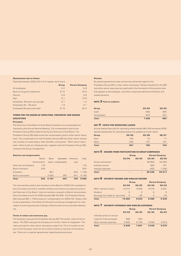#### **Absenteeism due to illness**

Total absenteeism 2003/04 in % of regular work hours.

|                                | Group | <b>Parent Company</b> |
|--------------------------------|-------|-----------------------|
| All employees                  | 2.2   | 6.8                   |
| Share of long-term absences    | 57.6  | 70.0                  |
| Women                          | 2.8   | 2.6                   |
| Men                            | 2.1   | 13.6                  |
| Employees 29 years and younger | 0.7   | 1.4                   |
| Employees 30 - 49 years        | 1.9   | 3.1                   |
| Employees 50 years and older   | 21.8  | 33.3                  |

### **TERMS FOR THE BOARD OF DIRECTORS, PRESIDENT AND SENIOR EXECUTIVES**

#### **Principles**

The Chairman of the Board and the Board members are compensated as resolved by the Annual General Meeting. The compensation paid to the President/Group CEO is determined by the Chairman of the Board. The President/Group CEO determines the compensation paid to other senior executives. The compensation for the President/Group CEO and other senior executives consists of a base salary, other benefits, and pension. "Other senior executives" refers to the six individuals who, together with the President/Group CEO, comprise the Group management.

#### **Salaries and compensation**

| <b>Total</b>          | 352            | 4 187                    | 287                 | 783      | 5609    |
|-----------------------|----------------|--------------------------|---------------------|----------|---------|
| Senior executives     |                | 3320                     | 287                 | 541      | 4 1 4 8 |
| President.            | $\blacksquare$ | 867                      | $\qquad \qquad -$   | 242      | 1 1 0 9 |
| Board members         | 234            | $\overline{\phantom{m}}$ | ٠                   |          | 234     |
| Chairman of the Board | 118            | $\overline{\phantom{m}}$ | $\qquad \qquad -$   |          | 118     |
|                       | remuneration   |                          | salary compensation | cost     |         |
|                       | <b>Board</b>   | <b>Base</b>              | Adjustable          | Pensions | Total   |
|                       |                |                          |                     |          |         |

The remuneration paid to the members of the Board in 2003/04 consisted of two price base amounts to outside members and three price base amounts to the Chairman of the Board. Internal members received no Board remuneration. One price base amount for 2004 equaled SEK 39,300. The President/Group CEO received SEK 1,109 thousand in compensation for 2003/04. Please refer to the presentation of the Board of Directors and Group management for information concerning executive holdings of Sectra stock and convertible debentures.

#### **Terms of notice and severance pay**

The Company must give the President/Group CEO 18 months' notice of termination. The CEO must give the Company six months' notice of resignation. The notice periods for other senior executives range from 12 to 3 months on the part of the Company, and from six to three months on the part of the executives. There are no special agreements regarding severance pay.

### **Pension**

No special agreements exist concerning retirement ages for the President/Group CEO or other senior executives. Pension benefits for the CEO and other senior executives are paid within the framework of the pension plan that applies to all employees, and which comprises defined-contribution and vested pensions.

### **NOTE 3 Fees to auditors**

| Group        | 03/04 | 02/03 |
|--------------|-------|-------|
| Audit        | 569   | 526   |
| Consultation | 679   | 437   |
| <b>Total</b> | 1248  | 963   |

#### **NOT 4 COSTS FOR OPERATING LEASES**

Annual leasing fees paid for operating leases totaled SEK 434 thousand (405).

| <b>Total</b>                                                         | 361   | 180             | 124   |  |
|----------------------------------------------------------------------|-------|-----------------|-------|--|
| Other                                                                | 236   | 1 <sub>07</sub> | 107   |  |
| Cars                                                                 | 125   | 73              | 17    |  |
| Group                                                                | 04/05 | 05/06           | 06/07 |  |
| Agreed leasing fees for operating leases are payable as shown below: |       |                 |       |  |

#### **NOTE 5 INCOME FROM PARTICIPATION IN GROUP COMPANIES**

|                    |                          | Group                    | <b>Parent Company</b> |         |  |
|--------------------|--------------------------|--------------------------|-----------------------|---------|--|
|                    | 03/04                    | 02/03                    | 03/04                 | 02/03   |  |
| Group contribution | ٠                        | $\overline{\phantom{m}}$ | 80 800                | 64 500  |  |
| Interest income    | $\overline{\phantom{a}}$ | $\overline{\phantom{a}}$ | 600                   | 751     |  |
| Interest expenses  | ٠                        | $\overline{\phantom{a}}$ | $-852$                | $-1040$ |  |
| <b>Total</b>       | ٠                        | ٠                        | 80 548                | 64 211  |  |

### **NOTE 6 INTEREST INCOME AND SIMILAR INCOME**

|                                   | Group  |   |         | <b>Parent Company</b> |       |
|-----------------------------------|--------|---|---------|-----------------------|-------|
|                                   | 03/04  |   | 02/03   | 03/04                 | 02/03 |
| Other interest income             | 14274  |   | 9 2 8 2 | 6075                  | 6267  |
| <b>Dividend</b>                   |        | 6 | З       | 6                     | 3     |
| Earnings from sales of securities |        | 5 | $-32$   | 5                     | $-32$ |
| <b>Total</b>                      | 14 285 |   | 9253    | 6086                  | 6238  |

### **NOTE 7 INTEREST EXPENSES AND SIMILAR EXPENSES**

|                            | Group |       | <b>Parent Company</b>    |       |  |
|----------------------------|-------|-------|--------------------------|-------|--|
|                            | 03/04 | 02/03 | 03/04                    | 02/03 |  |
| Interest portion of annual |       |       |                          |       |  |
| costs for financial leases | 656   | 303   | $\overline{\phantom{a}}$ |       |  |
| Other interest expenses    | 5583  | 6748  | 5536                     | 5679  |  |
| <b>Total</b>               | 6239  | 7051  | 5536                     | 5679  |  |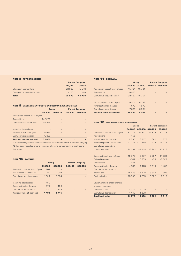### **NOTE 8 APPROPRIATIONS**

|                               |          | <b>Parent Company</b> |
|-------------------------------|----------|-----------------------|
|                               | 03/04    | 02/03                 |
| Change in accrual fund        | $-22829$ | $-13640$              |
| Change in excess depreciation | $-150$   | $-68$                 |
| <b>Total</b>                  | $-22979$ | $-13708$              |

### **NOTE 9 DEVELOPMENT COSTS CARRIED ON BALANCE SHEET**

|                                   | Group   |        | <b>Parent Company</b> |        |
|-----------------------------------|---------|--------|-----------------------|--------|
|                                   | 040430  | 030430 | 040430                | 030430 |
| Acquisition cost at start of year |         |        |                       |        |
| Acquisitions                      | 142 295 |        |                       |        |
| Cumulative acquisition cost       | 142 295 |        |                       |        |
| Incoming depreciation             |         |        |                       |        |
| Write-downs for the year          | 70936   |        |                       |        |
| Cumulative depreciation           | 70936   |        |                       |        |
| Residual value at year-end        | 71359   | ٠      | ٠                     | ۰      |

A nonrecurring write-down for capitalized development costs in Mamea Imaging AB has been reported among the items affecting comparability in the Income Statement.

### **NOTE 10 PATENTS**

|                                   |        | Group  | <b>Parent Company</b> |        |
|-----------------------------------|--------|--------|-----------------------|--------|
|                                   | 040430 | 030430 | 040430                | 030430 |
| Acquisition cost at start of year | 1904   |        |                       |        |
| Investments for the year          | 20     | 1904   |                       |        |
| Cumulative acquisition cost       | 1924   | 1904   |                       |        |
| Incoming depreciation             | 159    |        |                       |        |
| Depreciation for the year         | 271    | 159    |                       |        |
| Cumulative depreciation           | 430    | 159    |                       |        |
| Residual value at year-end        | 1494   | 1745   |                       |        |

### **NOTE 11 GOODWILL**

|                                   |        | Group  | <b>Parent Company</b> |        |  |
|-----------------------------------|--------|--------|-----------------------|--------|--|
|                                   | 040430 | 030430 | 040430                | 030430 |  |
| Acquisition cost at start of year | 15761  | 15761  |                       |        |  |
| Acquisitions                      | 16376  |        |                       |        |  |
| Cumulative acquisition cost       | 32 137 | 15761  |                       |        |  |
| Amortization at start of year     | 6304   | 4728   |                       |        |  |
| Amortization for the year         | 1576   | 1576   |                       |        |  |
| Cumulative amortization           | 7880   | 6304   |                       |        |  |
| Residual value at year-end        | 24 257 | 9457   | ٠                     |        |  |

### **NOTE 12 MACHINERY AND EQUIPMENT**

|                                   | Group   |          | <b>Parent Company</b> |         |  |
|-----------------------------------|---------|----------|-----------------------|---------|--|
|                                   | 040430  | 030430   | 040430                | 030430  |  |
| Acquisition cost at start of year | 27 113  | 34 261   | 13213                 | 17019   |  |
| <b>Acquisitions</b>               | 455     |          |                       |         |  |
| Investments for the year          | 3895    | 3317     | 821                   | 1972    |  |
| Sales/Disposals for the year      | $-1776$ | $-10465$ | $-73$                 | $-5778$ |  |
| Cumulative acquisition            |         |          |                       |         |  |
| cost at year-end                  | 29 687  | 27 113   | 13961                 | 13213   |  |
|                                   |         |          |                       |         |  |
| Depreciation at start of year     | 15378   | 19297    | 7397                  | 11591   |  |
| Sales/Disposals                   | $-601$  | $-8389$  | $-73$                 | $-5627$ |  |
| Acquisitions                      | 166     |          | ٠                     |         |  |
| Depreciation for the year         | 4 205   | 4470     | 1315                  | 1432    |  |
| Cumulative depreciation           |         |          |                       |         |  |
| at year-end                       | 19 148  | 15378    | 8639                  | 7396    |  |
| Residual value                    | 10539   | 11 735   | 5322                  | 5817    |  |
|                                   |         |          |                       |         |  |
| Equipment held under financial    |         |          |                       |         |  |
| lease agreements:                 |         |          |                       |         |  |
| Acquisition cost                  | 5376    | 4005     |                       |         |  |
| Cumulative depreciation           | $-1142$ | $-1388$  |                       |         |  |
| <b>Total book value</b>           | 14773   | 14352    | 5322                  | 5817    |  |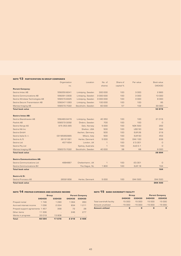| <b>NOTE 13</b><br><b>PARTICIPATION IN GROUP COMPANIES</b> |              |                   |              |           |                 |                |
|-----------------------------------------------------------|--------------|-------------------|--------------|-----------|-----------------|----------------|
|                                                           | Organization | Location          | No. of       | Share of  | Par value       | Book value     |
|                                                           | no.          |                   | shares       | capital % |                 | 040430         |
| <b>Parent Company:</b>                                    |              |                   |              |           |                 |                |
| Sectra Imtec AB                                           | 556250-8241  | Linköping, Sweden | 300 000      | 100       | 3000            | 2883           |
| Sectra Communications AB                                  | 556291-3300  | Linköping, Sweden | 3 000 000    | 100       | 3000            | 13000          |
| Sectra Wireless Technologies AB                           | 556570-9325  | Linköping, Sweden | 3 000 000    | 100       | 3000            | 8000           |
| Sectra Secure Transmission AB                             | 556247-1283  | Linköping, Sweden | 100 000      | 100       | 100             | 95             |
| Mamea Imaging AB                                          | 556570-7022  | Stockholm, Sweden | 60 000       | 57        | 10 <sub>2</sub> | 30000          |
| <b>Total book value</b>                                   |              |                   |              |           |                 | 53978          |
| <b>Sectra Imtec AB:</b>                                   |              |                   |              |           |                 |                |
| Sectra Skandinavien AB                                    | 556483-9479  | Linköping, Sweden | 40350        | 100       | 100             | 21016          |
| Paxlink AB                                                | 556572-3292  | Örebro, Sweden    | 700          | 100       | 100             | $\Box$         |
| Sectra Norge AS                                           | 975 353 265  | Oslo, Norway      | 5000         | 100       | <b>NOK 500</b>  | 283            |
| Sectra NA Inc                                             |              | Shelton, USA      | 500          | 100       | <b>USD 50</b>   | 384            |
| Sectra GmbH                                               |              | Aachen, Germany   | 500          | 100       | <b>EUR 26</b>   | 219            |
| Sectra Italia S.r.I.                                      | 03185950965  | Milano, Italy     | 500          | 100       | <b>EUR 50</b>   | 453            |
| Sectra A/S                                                | 26121361     | Herlev, Denmark   | 5000         | 100       | <b>DKK 100</b>  | 639            |
| Sectra Ltd                                                | 4571654      | London, UK        | $\mathbf{1}$ | 100       | £0.001          | $\Box$         |
| Sectra Pty Ltd                                            |              | Sydney, Australia | $\mathbf{1}$ | 100       | <b>AUD 0.1</b>  | $\Box$         |
| Mamea Imaging AB                                          | 556570-7022  | Stockholm, Sweden | 40 000       | 38        | 68              | 6000           |
| <b>Total book value</b>                                   |              |                   |              |           |                 | 28994          |
| <b>Sectra Communications AB:</b>                          |              |                   |              |           |                 |                |
| Sectra Communications Ltd                                 | 4884887      | Cheltenhamn, UK   | $\mathbf{1}$ | 100       | £0,001          | $\Box$         |
| Sectra Communications BV                                  |              | The Hague, NL     | 1800         | 100       | <b>EUR 18</b>   | 164            |
| <b>Total book value</b>                                   |              |                   |              |           |                 | 164            |
| Sectra A/S:                                               |              |                   |              |           |                 |                |
| Sectra Pronosco AS                                        | 26591856     | Herlev, Denmark   | 5000         | 100       | <b>DKK 500</b>  | <b>DKK 500</b> |
| <b>Total book value</b>                                   |              |                   |              |           |                 | <b>DKK 500</b> |

### **NOTE 14 PREPAID EXPENSES AND ACCRUED INCOME**

|                                 |        | Group  | <b>Parent Company</b>    |        |
|---------------------------------|--------|--------|--------------------------|--------|
|                                 | 040430 | 030430 | 040430                   | 030430 |
| Prepaid rental                  | 1746   | 1290   | 1064                     | 950    |
| Accrued interest income         | 1036   | 2224   | 834                      | 1211   |
| Prepaid support agreements 1457 |        | 358    | 72                       | 28     |
| Other items                     | 11336  | ٠      | 246                      | 277    |
| Works in progress               | 33019  | 13806  | $\overline{\phantom{a}}$ |        |
| <b>Total</b>                    | 48594  | 17678  | 2 2 1 6                  | 2466   |

### **NOTE 15 BANK OVERDRAFT FACILITY**

|                          |          | Group    |          | <b>Parent Company</b> |
|--------------------------|----------|----------|----------|-----------------------|
|                          | 040430   | 030430   | 040430   | 030430                |
| Total overdraft facility | 15000    | 15000    | 15000    | 15000                 |
| Amount unutilized        | $-15000$ | $-15000$ | $-15000$ | $-15000$              |
| <b>Amount utilized</b>   | o        | o        | o        |                       |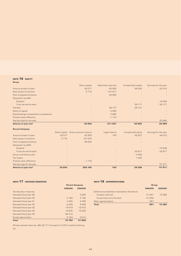|       | NOTE 16 EQUITY |
|-------|----------------|
| Group |                |

|                                            | Share capital            | Restricted reserves | Unrestricted capital     | Earnings for the year    |
|--------------------------------------------|--------------------------|---------------------|--------------------------|--------------------------|
| Amount at start of year                    | 33077                    | 63 583              | 56055                    | 53 315                   |
| New issues/conversion                      | 2 7 7 5                  | 147977              | $\qquad \qquad =$        | $\overline{\phantom{m}}$ |
| Paid unregistered shares                   |                          | 30000               |                          |                          |
| <b>Disposition by AGM</b>                  |                          |                     |                          |                          |
| <b>Dividend</b>                            | $\overline{\phantom{a}}$ |                     |                          | $-16538$                 |
| To be carried forward                      | $\overline{\phantom{a}}$ |                     | 36777                    | $-36777$                 |
| Transfer                                   | $\qquad \qquad =$        | 28 147              | $-28147$                 | $\sim$                   |
| Share of capital                           | $\qquad \qquad =$        | $-2366$             | $\overline{\phantom{m}}$ | $-1$                     |
| Shareholdings reclassified to subsidiaries | $\overline{\phantom{a}}$ | 5885                | $\overline{\phantom{a}}$ | $\sim$                   |
| Present value difference                   | $\overline{\phantom{a}}$ | $-1719$             | $\overline{\phantom{a}}$ | $\sim$                   |
| Net earnings for the year                  |                          |                     |                          | 20989                    |
| Amount at year-end                         | 35852                    | 271507              | 64 685                   | 20989                    |
| <b>Parent Company</b>                      |                          |                     |                          |                          |

|                            | Share capital            | Share premium reserve | Legal reserve            | Unrestricted equity      | Earnings for the year    |
|----------------------------|--------------------------|-----------------------|--------------------------|--------------------------|--------------------------|
| Amount at start of year    | 33077                    | 32935                 | 150                      | 29527                    | 49415                    |
| New issues/conversion      | 2775                     | 147976                | $-$                      |                          | $\sim$                   |
| Paid unregistered shares   | $\overline{\phantom{m}}$ | 30 000                | $\qquad \qquad =$        | $\qquad \qquad =$        | $\sim$                   |
| <b>Disposition by AGM:</b> |                          |                       |                          |                          |                          |
| <b>Dividend</b>            | $\qquad \qquad$          |                       |                          |                          | $-16538$                 |
| To be carried forward      | $\overline{\phantom{m}}$ | $\qquad \qquad =$     | $\overline{\phantom{a}}$ | 32877                    | $-32877$                 |
| Group contribution paid    | $\qquad \qquad$          | $\qquad \qquad =$     | $\qquad \qquad =$        | $-4300$                  | $\overline{\phantom{a}}$ |
| Tax impact                 | $\qquad \qquad$          |                       |                          | 1 2 0 4                  | $\sim$                   |
| Present value difference   | $\overline{\phantom{m}}$ | $-1719$               |                          | $\overline{\phantom{a}}$ | $\overline{\phantom{0}}$ |
| Net earnings for the year  | $\qquad \qquad$          |                       |                          |                          | 57911                    |
| <b>Amount at year-end</b>  | 35852                    | 209 192               | 150                      | 59 308                   | 57911                    |

**Parent Company**

### **NOTE 17 UNTAXED RESERVES**

|                          | . u. o.io <b>co</b> nipany |         |
|--------------------------|----------------------------|---------|
|                          | 040430                     | 030430  |
| Tax allocation reserves: |                            |         |
| Allocated fiscal year 99 |                            | 3483    |
| Allocated fiscal year OO | 3 1 6 0                    | 3 1 6 0 |
| Allocated fiscal year O1 | 4 4 0 0                    | 4 4 0 0 |
| Allocated fiscal year O2 | 8328                       | 8328    |
| Allocated fiscal year O3 | 13619                      | 13619   |
| Allocated fiscal year O4 | 16,200                     | 16 200  |
| Allocated fiscal year O5 | 26312                      |         |
| Excess depreciation      | 2 1 6 4                    | 2014    |
| <b>Total</b>             | 74 183                     | 51 204  |

Of total untaxed reserves, SEK 20,771 thousand (14,337) is deferred Group tax.

### **NOTE 18 APPROPRIATIONS**

|                                                    | Group    |        |  |
|----------------------------------------------------|----------|--------|--|
|                                                    | 040430   | 030430 |  |
| Deferred tax liabilities/receivables referable to: |          |        |  |
| Untaxed reserves                                   | 21907    | 15389  |  |
| Unused loss carry forward                          | $-21603$ |        |  |
| Other appropriations                               | 587      |        |  |
| <b>Total</b>                                       | 891      | 15389  |  |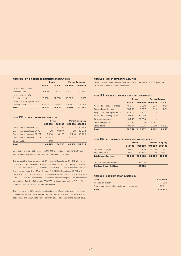### **NOTE 19 OTHER DEBTS TO FINANCIAL INSTITUTIONS**

|                            | <b>Group</b> |        | <b>Parent Company</b> |          |
|----------------------------|--------------|--------|-----------------------|----------|
|                            | 040430       | 030430 | 040430                | 030430   |
| Due $0 - 5$ years from     |              |        |                       |          |
| fiscal year-end            | 16676        | 22390  | 12797                 | 22 3 9 0 |
| (of which referable to     |              |        |                       |          |
| financial leases)          | (3880)       | (1905) | (3880)                | (1905)   |
| Due more than 5 years from |              |        |                       |          |
| fiscal year-end            | 23 277       | 8066   | 23 277                | 8066     |
| <b>Total</b>               | 39953        | 30 456 | 36074                 | 30 456   |

### **NOTE 20 OTHER LONG-TERM LIABILITIES**

|                              | Group   |        | <b>Parent Company</b> |        |
|------------------------------|---------|--------|-----------------------|--------|
|                              | 040430  | 030430 | 040430                | 030430 |
| Convertible debentures 00/03 |         | 27345  |                       | 27345  |
| Convertible debentures 01/04 | 17783   | 16974  | 17783                 | 16974  |
| Convertible debentures 02/05 | 11 11 6 | 10 196 | 11 116                | 10196  |
| Convertible debentures 03/06 | 20433   |        | 20433                 |        |
| Other liabilities            | 113     |        |                       |        |
| <b>Total</b>                 | 49 445  | 54 515 | 49332                 | 54515  |

Because convertible debenture loan 01/04 will fall due for payment within one year, it has been posted to the Balance Sheet as a current liability.

The convertible debentures run at 4% interest. Debentures 01/04 will mature on July 1, 2004. Conversion to series B shares can occur from May 15 – June 14, 2004. Debentures 02/05 will mature on July 1, 2005. Conversion to series B shares can occur from May 16 – June 14, 2005. Debentures 03/06 will mature on July 1, 2006. Conversion to series B shares can occur from May 16 – June 14, 2006. Full conversion of the issued convertibles programs will increase the number of series B shares by 809,750, which corresponds to 2.3 % of the share capital and 1.4% of the number of votes.

The present value difference is calculated as the difference between interest on convertibles debentures 2003/06 and the market rate. The other convertible debentures are assumed to run under market conditions as of the date of issue.

### **NOTE 21 OTHER CURRENT LIABILITIES**

Of the current liabilities in the Group as of April 30, 2004, SEK 354 thousand (712) are referable to financial leases.

#### **NOTE 22 ACCRUED EXPENSES AND DEFERRED INCOME**

|                              | <b>Group</b> |        |        | <b>Parent Company</b> |
|------------------------------|--------------|--------|--------|-----------------------|
|                              | 040430       | 030430 | 040430 | 030430                |
| Accrued social security fees | 15017        | 13090  | 827    | 851                   |
| Accrued vacation pay         | 19356        | 16397  | 914    | 874                   |
| Prepaid support agreements   | 22 407       | 5971   |        |                       |
| Accrued accounts payable     | 9578         | 33919  |        | $\sim$                |
| Advances received            | 8548         | 27509  |        | $\mathbb{Z}^+$        |
| <b>Accrued royalties</b>     | 4767         | 4005   | 1081   |                       |
| Other items                  | 19084        | 16 206 | 8250   | 6333                  |
| Total                        | 98757        | 117097 | 11072  | 8058                  |

#### **NOTE 23 PLEDGED ASSETS AND CONTINGENT LIABILITIES**

|                                     | Group             |         | <b>Parent Company</b>    |        |
|-------------------------------------|-------------------|---------|--------------------------|--------|
|                                     | 040430            | 030430  | 040430                   | 030430 |
| Chattel mortgages                   | 36 250            | 73438   | 11000                    | 11000  |
| Bank accounts                       | 10000             | 32 694  | 10000                    | 5000   |
| <b>Total pledged assets</b>         | 46 250            | 106 132 | 21000                    | 16000  |
| Guarantee commitments               | $\qquad \qquad -$ | 25 000  | $\overline{\phantom{a}}$ |        |
| <b>Total contingent liabilities</b> | ٠                 | 25 000  |                          |        |

### **NOTE 24 ACQUISITION OF SUBSIDIARY**

| Group                                            | 2003/04  |
|--------------------------------------------------|----------|
| Acquisition of debt                              | $-7330$  |
| Financing of acquired subsidiary during the year | $-26511$ |
| Total                                            | $-33841$ |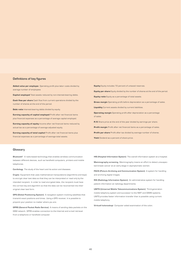### **Definitions of key figures**

**Added value per employee** Operating profit plus labor costs divided by average number of employees

**Capital employed** Total assets reduced by non-interest-bearing debts.

**Cash flow per share** Cash flow from current operations divided by the number of shares at the end of the period.

**Debt ratio** Interest-bearing debts divided by equity.

**Earning capacity of capital employed** Profit after net financial items plus financial expenses as a percentage of average capital employed.

**Earning capacity of equity** Income after net financial items reduced by actual tax as a percentage of average adjusted equity.

**Earning capacity of total capital** Profit after net financial items plus financial expenses as a percentage of average total assets.

**Equity** Equity includes 72 percent of untaxed reserves.

**Equity per share** Equity divided by the number of shares at the end of the period.

**Equity ratio** Equity as a percentage of total assets.

**Gross margin** Operating profit before depreciation as a percentage of sales.

**Liquidity** Current assets divided by current liabilities.

**Operating margin** Operating profit after depreciation as a percentage of sales.

**P/E** Share price at the end of the year divided by earnings per share.

**Profit margin** Profit after net financial items as a percentage of sales.

**Profit per share** Profit after tax divided by average number of shares.

**Yield** Dividend as a percent of share price.

### **Glossary**

**Bluetooth®** A radio-based technology that enables wireless communication between different devices, such as handheld computers, printers and mobile telephones.

**Cardiology** The study of the heart and its action and diseases.

**Crypto** Equipment that uses mathematical manipulations (algorithms and keys) to encrypt clear text data so that they can be interpreted or read only by the intended recipient. In order to read encrypted data, the recipient must have the correct key and algorithm so that the data can be reconverted into their original clear text form.

**GPS (Global Positioning System)** A navigation system involving satellites that transmit exact positions and times. Using a GPS receiver, it is possible to pinpoint your position no matter where you are.

**GPRS (General Packet Radio Service)** A means of sending data packets on the GSM network. GPRS enables connection to the Internet and e-mail retrieval from a telephone or handheld computer.

**HIS (Hospital Information System)** The overall information system at a hospital.

**Mammography screening** Mammography means an effort to detect unsuspected breast cancer at an early stage in asymptomatic women.

**PACS (Picture Archiving and Communication System)** A system for handling and archiving digital images.

**RIS (Radiology Information System)** An administrative system for handling patient information at radiology departments.

**UMTS (Universal Mobile Telecommunications System)** Third-generation mobile telephony system and successor to the NMT and GSMS systems. UMTS provides faster information transfer than is possible using current mobile telephony.

**Virituell kolonoskopi** Computer aided examination of the colon.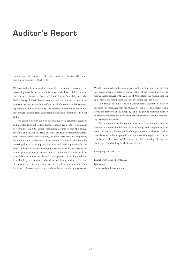### **Auditor's Report**

To the general meeting of the shareholders of Sectra AB (publ), registration number 556064-8304

We have audited the annual accounts, the consolidated accounts, the accounting records and the administration of the board of directors and the managing director of Sectra AB (publ) for the financial year 1 May 2003 – 30 April 2004. These accounts and the administration of the company are the responsibility of the board of directors and the managing director. Our responsibility is to express an opinion on the annual accounts, the consolidated accounts and the administration based on our audit.

We conducted our audit in accordance with generally accepted auditing standards in Sweden. Those standards require that we plan and perform the audit to obtain reasonable assurance that the annual accounts and the consolidated accounts are free of material misstatement. An audit includes examining, on a test basis, evidence supporting the amounts and disclosures in the accounts. An audit also includes assessing the accounting principles used and their application by the board of directors and the managing director, as well as evaluating the overall presentation of information in the annual accounts and the consolidated accounts. As a basis for our opinion concerning discharge from liability, we examined significant decisions, actions taken and circumstances of the company in order to be able to determine the liability, if any, to the company of any board member or the managing director. We also examined whether any board member or the managing director has, in any other way, acted in contravention of the Companies Act, the Annual Accounts Act or the Articles of Association. We believe that our audit provides a reasonable basis for our opinion set out below.

The annual accounts and the consolidated accounts have been prepared in accordance with the Annual Accounts Act and, thereby, give a true and fair view of the company's and the group's financial position and results of operations in accordance with generally accepted accounting principles in Sweden.

We recommend to the general meeting of shareholders that the income statements and balance sheets of the parent company and the group be adopted, that the profit of the parent company be dealt with in accordance with the proposal in the administration report and that the members of the board of directors and the managing director be discharged from liability for the financial year.

Linköping June 4th 2004

Lindebergs Grant Thornton AB Ivar Verner Authorized public accountant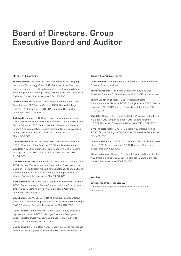# **Board of Directors, Group Executive Board and Auditor**

### **Board of Directors**

**Thomas Ericson** Professor of Data Transmission at Linköping Institute of Technology. Born 1942. Member of the Board and Chairman since 1984. Board member of Linköping Institute of Technology. Sectra holdings: 196,329 A shares and 1,349,044 B shares. Convertible debentures SEK 115,400.

**Jan-Olof Brüer** Ph.D. Born 1951. Board member since 1982. President and CEO Sectra AB since 1985. Sectra holdings: 638,059 A shares and 3,719,904 B shares. Convertible debentures SEK 4,338,800.

**Torbjörn Kronander** Ph.D. Born 1957. Board member since 1988. President Sectra Imtec AB since 1997 and Vice President Sectra AB since 1998. Board member of Center for Medical Imaging And Visualization. Sectra holdings: 638,057 A shares and 3,719,901 B shares. Convertible debentures SEK 4,338,800.

**Gündor Rentsch** M. Pol. Sc. Born 1941. Board member since 1994. Chairman of the Board at ITB AB and Board member of WM-Data AB, Streamserve Inc, and Readsoft AB et al. Sectra holdings: 200,000 B shares. Convertible debentures SEK 2,154,000.

**Carl-Erik Ridderstråle** Tech. lic. Born 1942. Board member since 2001. Advisor Toyota Industries Corporation. Chairman of the Board at Hultdin System AB, Bröderna Edstrand AB and SQS and Board member of KMT AB et al. Sectra holdings: 16 500 B shares. Convertible debentures SEK 3,288,700.

**Karin Partain** M. Sc. Born 1964. Employee representative since 2003. Project manager Sectra Communications AB, employee since 1996. Sectra holdings: 7,810 B shares. Convertible debentures SEK 62,500.

**Claes Lundström** M. Sc. Born 1973. Employee representative since 2003. Systems engineer Sectra Imtec AB. Sectra holdings: 5,412 B shares. Convertible debentures SEK 407,720.

**Patrik Preime**r M. Sc. and MBA Born 1968. Deputy employee representative since 2003. Manager Sales and Deployment Support Sectra Imtec AB. Sectra holdings: 7,621 B shares. Convertible debentures SEK 619,800.

**George Ekström** B. Sc. Born 1966. Deputy employee representative since 2003. System developer Sectra Communications AB.

### **Group Executive Board**

**Jan-Olof Brüer** President and CEO Sectra AB. See also under Board of Directors above.

**Torbjörn Kronander** President Sectra Imtec AB and Vice President Sectra AB. See also under Board of Directors above.

**Tommy Waszkiewicz** Born 1965. President Sectra Communications AB since 2002. Employee since 1990. Sectra holdings: 208,090 B shares. Convertible debentures SEK 1,994,200.

**Dick Ollas** Born 1968. President Sectra Wireless Technologies AB since 1999. Employee since 1993. Sectra holdings: 10,652 B shares. Convertible debentures SEK 1,532,500.

**Simo Pykälistö** Born 1972. CFO Sectra AB, employee since 2003. Sectra holdings: 200 B shares. Convertible debentures SEK 475,000.

**Jan Johansson** Born 1972. IT Coordinator Sectra AB, employee since 1999. Sectra holdings: 2,012 B shares. Convertible debentures SEK 452,100.

**Helena Johansson** Born 1970. Chief Information Officer Sectra AB, employee since 1993. Sectra holdings: 9 239 B shares. Convertible debentures SEK 279,600.

### **Auditor**

### **Lindebergs Grant Thornton AB**

Chief coordinating auditor Ivar Verner, certified public accountant.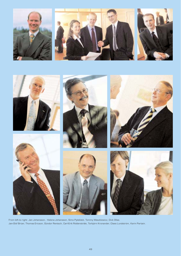



From left to right: Jan Johansson, Helena Johansson, Simo Pykälistö, Tommy Waszkiewicz, Dick Ollas. Jan-Olof Brüer, Thomas Ericson, Gündor Rentsch, Carl-Erik Ridderstråle, Torbjörn Kronander, Claes Lundström, Karin Partain.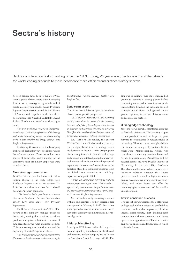### **Sectra's history**

Sectra completed its first consulting project in 1978. Today, 25 years later, Sectra is a brand that stands for world-leading products to make healthcare more efficient and protect military secrets.

Sectra's history dates back to the late 1970s, when a group of researchers at the Linköping Institute of Technology were given the task of create a security solution for banks. Professor Ingemar Ingemarsson started Sectra (SEcure TRAnsmission) together with his three doctoral students, Viiveke Fåk, Rolf Blom and Robert Forchheimer to take on the assignment.

*"We were working as researchers in information theory at the Linköping Institute of Technology and, under the company's name, we did consulting work in data security and image coding," says Professor Ingemarsson.*

Linköping University and the Linköping Institute of Technology have been important to Sectra's development. These institutions are a source of knowledge, and a number of the company's most prominent employees were recruited there.

### **New strategic orientation**

Jan-Olof Brüer earned his doctorate in information theory in the early 1980s, with Professor Ingemarsson as his advisor. Dr. Brüer had new ideas about how Sectra should become a "proper" company.

*"The founders had a good laugh at what we then saw as his dreams. But now I see that those visions have come true," says Professor Ingemarsson.* 

Dr. Brüer was hired as Sectra's CEO. The nature of the company changed under his leadership, making the transition to selling products and system solutions in the areas of data security, digital radio and image coding. This new strategic orientation marked the beginning of Sectra's expansion phase.

*"We founders were academics and researchers. The smartest decision we ever made was to bring in* *knowledgeable business-oriented people," says Professor Fåk.*

### **Long-term growth**

The niches in which Sectra operates have been chosen from a growth perspective.

*"A lot of people think that Sectra's areas of activity came about by chance. On the contrary, these were the field of technology in which we had an interest, and that was the basis on which we identified niche markets from a long-term growth perspective," continues Professor Ingemarsson.* 

Dr. Torbjörn Kronander, the current CEO of Sectra's medical operations, came to the Linköping Institute of Technology to earn his doctorate in the mid-1980s, bringing with him a strong interest in medical technology and a vision of digital radiology. He was eventually recruited to Sectra, where he proposed expanding the company's operations in the direction of medical technology. Sectra's focus on digital image processing for radiology departments began in 1988.

*"When Dr. Kronander started we still had only ten people working at Sectra. Medical technology currently constitutes our largest business area, and our radiology system is one of the world leaders," continues Professor Ingemarsson.* 

Sectra resolved early on to target niches with global potential. The first foreign office was opened in Norway in 1995. Sectra has since opened offices in six more countries as part of the company's commitment to international growth.

### **Initial public offering**

As early as 1990 Sectra had made it a goal to become a publicly traded company by the end of the century, and the company had its IPO on the Stockholm Stock Exchange in1999. The

aim was to validate that the company had grown to become a strong player before continuing on its path toward internationalization. Being listed on the exchange enabled strategic acquisitions, and gained Sectra greater legitimacy in the eyes of its customers and cooperative partners.

### **Cutting-edge technology**

Since the start, Sectra has maintained close ties to the world of research. The company is open to new possibilities, and has helped to push forward the boundaries in relevant fields of technology. The most recent example of this is the unique mammography system, Sectra MicroDose Mammography, which was conceived at a meeting between Sectra and Assoc. Professor Mats Danielsson and his research team at the Royal Swedish Institute of Technology in the late 1990s. Professor Danielsson and his team had developed a revolutionary radiation detector that Sectra perceived could be used in digital mammography. A cooperative arrangement was established, and today Sectra can offer the mammography departments of the world a unique solution.

### **Key to continued success**

The key to Sectra's success consists of focusing on high-tech niche markets and profitability, committed and capable employees, a healthy internal social climate, short- and long-term cooperation with our customers, and being open to new opportunities. These attributes give Sectra an excellent foundation on which to face the future.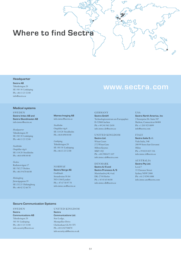### **Where to find Sectra**

### **Headquarter**

**Sectra AB** Teknikringen 20 SE-583 30 Linköping Ph: +46 13 23 52 00 info@sectra.se

### **Medical systems**

SWEDEN **Sectra Imtec AB and Sectra Skandinavien AB** info.imtec@sectra.se

*Headquarter* Teknikringen 20 SE-583 30 Linköping Ph: +46 13 23 52 00

*Stockholm* Osquldas väg 6 SE-114 28 Stockholm Ph: +46 8 698 04 40

*Örebro* Radiatorvägen 17 SE-702 27 Örebro Ph: +46 19 670 66 00

*Helsingborg* Järnvägsgatan 39 SE-252 25 Helsingborg Ph: +46 42 32 66 70

### **Mamea Imaging AB** info.imtec@sectra.se

*Stockholm* Osquldas väg 6 SE-114 28 Stockholm Ph: +46 8 698 04 40

*Linköping* Teknikringen 20 SE-583 30 Linköping Ph: +46 13 23 52 00

NORWAY **Sectra Norge AS** Godthaab Strandveien 50 A4 NO-1366 Lysaker Ph: + 47 67 58 97 70 info.imtec.no@sectra.se

GERMANY **Sectra GmbH** Technologiezentrum am Europaplatz D-52068 Aachen Ph: + 49 241 963 2650 info.imtec.de@sectra.se

### UNITED KINGDOM

**Sectra Ltd.**  Witan Court 272 Witan Gate Milton Keynes MK9 1 EJ Ph: +44 1908 673 107 info.imtec.uk@sectra.com

#### DENMARK

**Sectra A/S and Sectra Pronosco A/S** Marielundvej 48, 4 sal. DK-2730 Herlev Ph: + 45 45 65 06 00 info.imtec.dk@sectra.se

### USA

**www.sectra.com**

**Sectra North America, Inc** 2 Enterprise Dr. Suite 507 Shelton, Connecticut 06484 Ph: + 1 203 925 0899 info@sectra.com

### ITALY

**Sectra Italia S.r.l.** Viale Italia, 548 200 99 Sesto San Giovanni Milan Ph: + 39 0224 425 336 info.imtec.it@sectra.se

### AUSTRALIA

**Sectra Pty Ltd.** Level 7 35 Clarence Street Sydney NSW 2000 Ph: + 61 2 9290 1088 info.imtec.anz@sectra.com

### **Secure Communication Systems**

SWEDEN **Sectra Communications AB** Teknikringen 20 583 30 Linköping Ph: +46 13 23 52 00 info.security@sectra.se

UNITED KINGDOM **Sectra Communications Ltd.** Star Lodge, Montpellier Drive Cheltenham GL50 1TY Ph: +44 1242704870 info.security.uk@sectra.co.uk